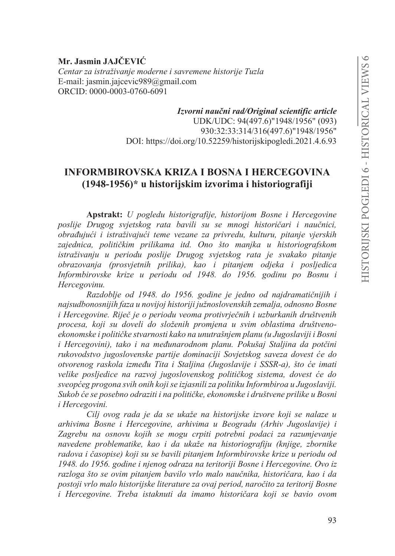Mr. Jasmin JAJČEVIĆ Centar za istraživanje moderne i savremene historije Tuzla E-mail: jasmin.jajcevic $989@$ gmail.com ORCID: 0000-0003-0760-6091

> Izvorni naučni rad/Original scientific article UDK/UDC: 94(497.6)"1948/1956" (093) 930:32:33:314/316(497.6)"1948/1956" DOI: https://doi.org/10.52259/historijskipogledi.2021.4.6.93

# **INFORMBIROVSKA KRIZA I BOSNA I HERCEGOVINA**  $(1948-1956)$ \* u historijskim izvorima i historiografiji

Apstrakt: U pogledu historigrafije, historijom Bosne i Hercegovine poslije Drugog svjetskog rata bavili su se mnogi historičari i naučnici, obrađujući i istraživajući teme vezane za privredu, kulturu, pitanje vjerskih zajednica, političkim prilikama itd. Ono što manjka u historiografskom istraživanju u periodu poslije Drugog svjetskog rata je svakako pitanje obrazovanja (prosvjetnih prilika), kao i pitanjem odjeka i posljedica Informbirovske krize u periodu od 1948. do 1956. godinu po Bosnu i Hercegovinu.

Razdoblje od 1948. do 1956. godine je jedno od najdramatičnijih i najsudbonosnijih faza u novijoj historiji južnoslovenskih zemalja, odnosno Bosne i Hercegovine. Riječ je o periodu veoma protivrječnih i uzburkanih društvenih procesa, koji su doveli do složenih promjena u svim oblastima društvenoekonomske i političke stvarnosti kako na unutrašnjem planu (u Jugoslaviji i Bosni i Hercegovini), tako i na međunarodnom planu. Pokušaj Staljina da potčini rukovodstvo jugoslovenske partije dominaciji Sovjetskog saveza dovest će do otvorenog raskola između Tita i Staljina (Jugoslavije i SSSR-a), što će imati velike posljedice na razvoj jugoslovenskog političkog sistema, dovest će do sveopćeg progona svih onih koji se izjasnili za politiku Informbiroa u Jugoslaviji. Sukob će se posebno odraziti i na političke, ekonomske i društvene prilike u Bosni i Hercegovini.

Cili ovog rada je da se ukaže na historijske izvore koji se nalaze u arhivima Bosne i Hercegovine, arhivima u Beogradu (Arhiv Jugoslavije) i Zagrebu na osnovu kojih se mogu crpiti potrebni podaci za razumjevanje navedene problematike, kao i da ukaže na historiografiju (knjige, zbornike radova i časopise) koji su se bavili pitanjem Informbirovske krize u periodu od 1948. do 1956. godine i njenog odraza na teritoriji Bosne i Hercegovine. Ovo iz razloga što se ovim pitanjem bavilo vrlo malo naučnika, historičara, kao i da postoji vrlo malo historijske literature za ovaj period, naročito za teritorij Bosne i Hercegovine. Treba istaknuti da imamo historičara koji se bavio ovom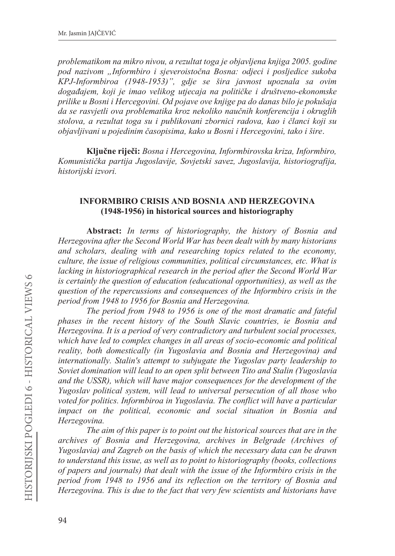*problematikom na mikro nivou, a rezultat toga je objavljena knjiga 2005. godine pod nazivom "Informbiro i sjeveroistoþna Bosna: odjeci i posljedice sukoba KPJ-Informbiroa (1948-1953)", gdje se šira javnost upoznala sa ovim dogaÿajem, koji je imao velikog utjecaja na politiþke i društveno-ekonomske prilike u Bosni i Hercegovini. Od pojave ove knjige pa do danas bilo je pokušaja da se rasvjetli ova problematika kroz nekoliko nauþnih konferencija i okruglih stolova, a rezultat toga su i publikovani zbornici radova, kao i þlanci koji su objavljivani u pojedinim þasopisima, kako u Bosni i Hercegovini, tako i šire*

Ključne riječi: Bosna i Hercegovina, Informbirovska kriza, Informbiro, *Komunistiþka partija Jugoslavije, Sovjetski savez, Jugoslavija, historiografija, historijski izvori.*

## **INFORMBIRO CRISIS AND BOSNIA AND HERZEGOVINA** (1948-1956) in historical sources and historiography

**Abstract:** In terms of historiography, the history of Bosnia and *Herzegovina after the Second World War has been dealt with by many historians and scholars, dealing with and researching topics related to the economy, culture, the issue of religious communities, political circumstances, etc. What is lacking in historiographical research in the period after the Second World War is certainly the question of education (educational opportunities), as well as the question of the repercussions and consequences of the Informbiro crisis in the period from 1948 to 1956 for Bosnia and Herzegovina.* 

*The period from 1948 to 1956 is one of the most dramatic and fateful phases in the recent history of the South Slavic countries, ie Bosnia and Herzegovina. It is a period of very contradictory and turbulent social processes, which have led to complex changes in all areas of socio-economic and political reality, both domestically (in Yugoslavia and Bosnia and Herzegovina) and internationally. Stalin's attempt to subjugate the Yugoslav party leadership to Soviet domination will lead to an open split between Tito and Stalin (Yugoslavia and the USSR), which will have major consequences for the development of the Yugoslav political system, will lead to universal persecution of all those who voted for politics. Informbiroa in Yugoslavia. The conflict will have a particular impact on the political, economic and social situation in Bosnia and Herzegovina.* 

*The aim of this paper is to point out the historical sources that are in the archives of Bosnia and Herzegovina, archives in Belgrade (Archives of Yugoslavia) and Zagreb on the basis of which the necessary data can be drawn to understand this issue, as well as to point to historiography (books, collections of papers and journals) that dealt with the issue of the Informbiro crisis in the period from 1948 to 1956 and its reflection on the territory of Bosnia and Herzegovina. This is due to the fact that very few scientists and historians have*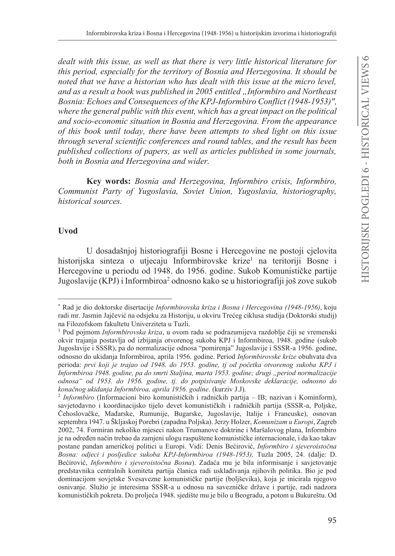*dealt with this issue, as well as that there is very little historical literature for this period, especially for the territory of Bosnia and Herzegovina. It should be noted that we have a historian who has dealt with this issue at the micro level, and as a result a book was published in 2005 entitled "Informbiro and Northeast Bosnia: Echoes and Consequences of the KPJ-Informbiro Conflict (1948-1953)", where the general public with this event, which has a great impact on the political and socio-economic situation in Bosnia and Herzegovina. From the appearance of this book until today, there have been attempts to shed light on this issue through several scientific conferences and round tables, and the result has been published collections of papers, as well as articles published in some journals, both in Bosnia and Herzegovina and wider.* 

Key words: Bosnia and Herzegovina, Informbiro crisis, Informbiro, *Communist Party of Yugoslavia, Soviet Union, Yugoslavia, historiography, historical sources.* 

#### **Uvod**

U dosadašnjoj historiografiji Bosne i Hercegovine ne postoji cjelovita historijska sinteza o utjecaju Informbirovske krize<sup>1</sup> na teritoriji Bosne i Hercegovine u periodu od 1948. do 1956. godine. Sukob Komunističke partije Jugoslavije (KPJ) i Informbiroa<sup>2</sup> odnosno kako se u historiografiji još zove sukob

<sup>\*</sup> Rad je dio doktorske disertacije Informbirovska kriza i Bosna i Hercegovina (1948-1956), koju radi mr. Jasmin Jajčević na odsjeku za Historiju, u okviru Trećeg ciklusa studija (Doktorski studij) na Filozofskom fakultetu Univerziteta u Tuzli.

<sup>&</sup>lt;sup>1</sup> Pod pojmom *Informbirovska kriza*, u ovom radu se podrazumijeva razdoblje čiji se vremenski okvir trajanja postavlja od izbijanja otvorenog sukoba KPJ i Informbiroa, 1948. godine (sukob Jugoslavije i SSSR), pa do normalizacije odnosa "pomirenja" Jugoslavije i SSSR-a 1956. godine, odnosno do ukidanja Informbiroa, aprila 1956. godine. Period Informbirovske krize obuhvata dva perioda: prvi koji je trajao od 1948. do 1953. godine, tj od početka otvorenog sukoba KPJ i *Informbiroa 1948. godine, pa do smrti Staljina, marta 1953. godine; drugi "period normalizacije odnosa" od 1953. do 1956. godine, tj. do potpisivanje Moskovske deklaracije, odnosno do konačnog ukidanja Informbiroa, aprila 1956. godine.* (kurziv J.J).

<sup>&</sup>lt;sup>2</sup> Informbiro (Informacioni biro komunističkih i radničkih partija – IB; nazivan i Kominform), savjetodavno i koordinacijsko tijelo devet komunističkih i radničkih partija (SSSR-a, Poljske, Čehoslovačke, Mađarske, Rumunije, Bugarske, Jugoslavije, Italije i Francuske), osnovan septembra 1947. u Škljaskoj Porebri (zapadna Poljska). Jerzy Holzer, Komunizam u Europi, Zagreb 2002, 74. Formiran nekoliko mjeseci nakon Trumanove doktrine i Maršalovog plana, Informbiro je na određen način trebao da zamjeni ulogu raspuštene komunističke internacionale, i da kao takav postane pandan američkoj politici u Europi. Vidi: Denis Bećirović, *Informbiro i sjeveroistočna Bosna: odjeci i posljedice sukoba KPJ-Informbiroa (1948-1953), Tuzla 2005, 24. (dalje: D.* Bećirović, *Informbiro i sjeveroistočna Bosna*). Zadaća mu je bila informisanje i savjetovanje predstavnika centralnih komiteta partija članica radi usklađivanja njihovih politika. Bio je pod dominacijom sovjetske Svesavezne komunističke partije (boljševika), koja je inicirala njegovo osnivanje. Služio je interesima SSSR-a u odnosu na savezničke države i partije, radi nadzora komunističkih pokreta. Do proljeća 1948. sjedište mu je bilo u Beogradu, a potom u Bukureštu. Od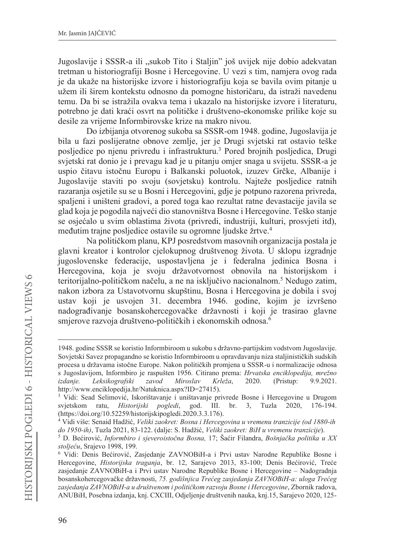Jugoslavije i SSSR-a ili "sukob Tito i Staljin" još uvijek nije dobio adekvatan tretman u historiografiji Bosne i Hercegovine. U vezi s tim, namjera ovog rada je da ukaže na historijske izvore i historiografiju koja se bavila ovim pitanje u užem ili širem kontekstu odnosno da pomogne historičaru, da istraži navedenu temu. Da bi se istražila ovakva tema i ukazalo na historijske izvore i literaturu, potrebno je dati kraći osvrt na političke i društveno-ekonomske prilike koje su desile za vrijeme Informbirovske krize na makro nivou.

Do izbijanja otvorenog sukoba sa SSSR-om 1948. godine, Jugoslavija je bila u fazi poslijeratne obnove zemlje, jer je Drugi svjetski rat ostavio teške posljedice po njenu privredu i infrastrukturu.<sup>3</sup> Pored brojnih posljedica, Drugi svjetski rat donio je i prevagu kad je u pitanju omjer snaga u svijetu. SSSR-a je uspio čitavu istočnu Europu i Balkanski poluotok, izuzev Grčke, Albanije i Jugoslavije staviti po svoju (sovjetsku) kontrolu. Najteže posljedice ratnih razaranja osjetile su se u Bosni i Hercegovini, gdje je potpuno razorena privreda, spaljeni i uništeni gradovi, a pored toga kao rezultat ratne devastacije javila se glad koja je pogodila najveći dio stanovništva Bosne i Hercegovine. Teško stanie se osjećalo u svim oblastima života (privredi, industriji, kulturi, prosvjeti itd), međutim trajne posljedice ostavile su ogromne ljudske žrtve.<sup>4</sup>

Na političkom planu, KPJ posredstvom masovnih organizacija postala je glavni kreator i kontrolor cjelokupnog društvenog života. U sklopu izgradnje jugoslovenske federacije, uspostavljena je i federalna jedinica Bosna i Hercegovina, koja je svoju državotvornost obnovila na historijskom i teritorijalno-političkom načelu, a ne na isključivo nacionalnom.<sup>5</sup> Nedugo zatim, nakon izbora za Ustavotvornu skupštinu. Bosna i Hercegovina je dobila i svoj ustav koji je usvojen 31. decembra 1946. godine, kojim je izvršeno nadograđivanje bosanskohercegovačke državnosti i koji je trasirao glavne smjerove razvoja društveno-političkih i ekonomskih odnosa.<sup>6</sup>

<sup>1948.</sup> godine SSSR se koristio Informbiroom u sukobu s državno-partijskim vodstvom Jugoslavije. Sovjetski Savez propagandno se koristio Informbiroom u opravdavanju niza staljinističkih sudskih procesa u državama istočne Europe. Nakon političkih promjena u SSSR-u i normalizacije odnosa s Jugoslavijom, Informbiro je raspušten 1956. Citirano prema: Hrvatska enciklopedija, mrežno Leksikografski zavod Miroslav Krleža, 2020. (Pristup: 9.9.2021. *izdanie.* http://www.enciklopedija.hr/Natuknica.aspx?ID=27415).

<sup>&</sup>lt;sup>3</sup> Vidi: Sead Selimović, Iskorištavanje i uništavanje privrede Bosne i Hercegovine u Drugom svjetskom ratu, Historijski *pogledi*, god. III. br. 3, Tuzla 2020, 176-194. (https://doi.org/10.52259/historijskipogledi.2020.3.3.176).

<sup>&</sup>lt;sup>4</sup> Vidi više: Senaid Hadžić, Veliki zaokret: Bosna i Hercegovina u vremenu tranzicije (od 1880-ih do 1950-ih), Tuzla 2021, 83-122. (dalje: S. Hadžić, Veliki zaokret: BiH u vremenu tranzicije).

<sup>&</sup>lt;sup>5</sup> D. Bećirović, *Informbiro i sjeveroistočna Bosna*, 17; Šaćir Filandra, Bošnjačka politika u XX stoljeću, Srajevo 1998, 199.

<sup>&</sup>lt;sup>6</sup> Vidi: Denis Bećirović, Zasjedanje ZAVNOBiH-a i Prvi ustav Narodne Republike Bosne i Hercegovine, Historijska traganja, br. 12, Sarajevo 2013, 83-100; Denis Bećirović, Treće zasjedanje ZAVNOBiH-a i Prvi ustav Narodne Republike Bosne i Hercegovine – Nadogradnja bosanskohercegovačke državnosti, 75. godišnjica Trećeg zasjedanja ZAVNOBiH-a: uloga Trećeg zasjedanja ZAVNOBiH-a u društvenom i političkom razvoju Bosne i Hercegovine, Zbornik radova, ANUBiH, Posebna izdanja, knj. CXCIII, Odjeljenje društvenih nauka, knj.15, Sarajevo 2020, 125-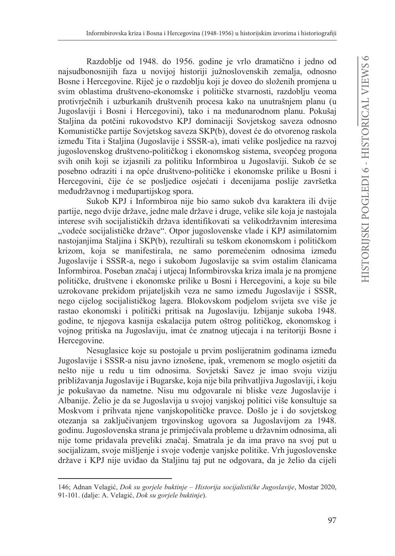Razdoblje od 1948. do 1956. godine je vrlo dramatično i jedno od najsudbonosnijih faza u novijoj historiji južnoslovenskih zemalja, odnosno Bosne i Hercegovine. Riječ je o razdoblju koji je doveo do složenih promjena u svim oblastima društveno-ekonomske i političke stvarnosti, razdoblju veoma protivrječnih i uzburkanih društvenih procesa kako na unutrašnjem planu (u Jugoslaviji i Bosni i Hercegovini), tako i na međunarodnom planu. Pokušaj Staljina da potčini rukovodstvo KPJ dominaciji Sovjetskog saveza odnosno Komunističke partije Sovjetskog saveza SKP(b), dovest će do otvorenog raskola između Tita i Staljina (Jugoslavije i SSSR-a), imati velike posljedice na razvoj jugoslovenskog društveno-političkog i ekonomskog sistema, sveopćeg progona svih onih koji se izjasnili za politiku Informbiroa u Jugoslaviji. Sukob će se posebno odraziti i na opće društveno-političke i ekonomske prilike u Bosni i Hercegovini, čije će se posljedice osjećati i decenijama poslije završetka međudržavnog i međupartijskog spora.

Sukob KPJ i Informbiroa nije bio samo sukob dva karaktera ili dvije partije, nego dvije države, jedne male države i druge, velike sile koja je nastojala interese svih socijalističkih država identifikovati sa velikodržavnim interesima "vodeće socijalističke države". Otpor jugoslovenske vlade i KPJ asimilatornim nastojanjima Staljina i SKP(b), rezultirali su teškom ekonomskom i političkom krizom, koja se manifestirala, ne samo poremećenim odnosima između Jugoslavije i SSSR-a, nego i sukobom Jugoslavije sa svim ostalim članicama Informbiroa. Poseban značaj i utjecaj Informbirovska kriza imala je na promjene političke, društvene i ekonomske prilike u Bosni i Hercegovini, a koje su bile uzrokovane prekidom prijateljskih veza ne samo između Jugoslavije i SSSR, nego cijelog socijalističkog lagera. Blokovskom podjelom svijeta sve više je rastao ekonomski i politički pritisak na Jugoslaviju. Izbijanje sukoba 1948. godine, te njegova kasnija eskalacija putem oštrog političkog, ekonomskog i vojnog pritiska na Jugoslaviju, imat će znatnog utjecaja i na teritoriji Bosne i Hercegovine.

Nesuglasice koje su postojale u prvim poslijeratnim godinama između Jugoslavije i SSSR-a nisu javno iznošene, ipak, vremenom se moglo osjetiti da nešto nije u redu u tim odnosima. Sovjetski Savez je imao svoju viziju približavanja Jugoslavije i Bugarske, koja nije bila prihvatljiva Jugoslaviji, i koju je pokušavao da nametne. Nisu mu odgovarale ni bliske veze Jugoslavije i Albanije. Želio je da se Jugoslavija u svojoj vanjskoj politici više konsultuje sa Moskvom i prihvata njene vanjskopolitičke pravce. Došlo je i do sovjetskog otezanja sa zaključivanjem trgovinskog ugovora sa Jugoslavijom za 1948. godinu. Jugoslovenska strana je primjećivala probleme u državnim odnosima, ali nije tome pridavala preveliki značaj. Smatrala je da ima pravo na svoj put u socijalizam, svoje mišljenje i svoje vođenje vanjske politike. Vrh jugoslovenske države i KPJ nije uviđao da Staljinu taj put ne odgovara, da je želio da cijeli

<sup>146;</sup> Adnan Velagić, *Dok su gorjele buktinje – Historija socijalističke Jugoslavije*, Mostar 2020, 91-101. (dalje: A. Velagić, Dok su gorjele buktinje).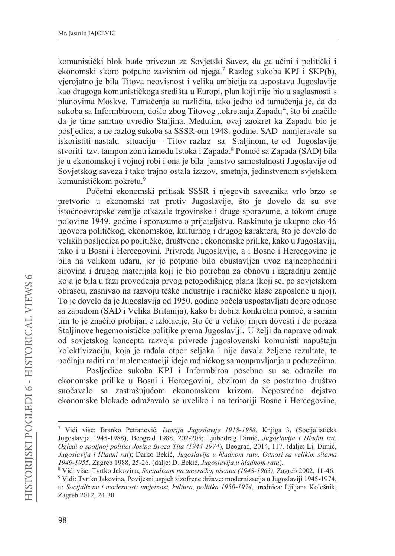komunistički blok bude privezan za Sovjetski Savez, da ga učini i politički i ekonomski skoro potpuno zavisnim od njega.<sup>7</sup> Razlog sukoba KPJ i SKP(b), vjerojatno je bila Titova neovisnost i velika ambicija za uspostavu Jugoslavije kao drugoga komunističkoga središta u Europi, plan koji nije bio u saglasnosti s planovima Moskve. Tumačenja su različita, tako jedno od tumačenja je, da do sukoba sa Informbiroom, došlo zbog Titovog "okretanja Zapadu", što bi značilo da je time smrtno uvredio Staljina. Međutim, ovaj zaokret ka Zapadu bio je posliedica, a ne razlog sukoba sa SSSR-om 1948. godine. SAD namjeravale su iskoristiti nastalu situaciju – Titov razlaz sa Staljinom, te od Jugoslavije stvoriti tzv. tampon zonu između Istoka i Zapada.<sup>8</sup> Pomoć sa Zapada (SAD) bila je u ekonomskoj i vojnoj robi i ona je bila jamstvo samostalnosti Jugoslavije od Sovjetskog saveza i tako trajno ostala izazov, smetnja, jedinstvenom svjetskom komunističkom pokretu.<sup>9</sup>

Početni ekonomski pritisak SSSR i njegovih saveznika vrlo brzo se pretvorio u ekonomski rat protiv Jugoslavije, što je dovelo da su sve istočnoevropske zemlie otkazale trgovinske i druge sporazume, a tokom druge polovine 1949. godine i sporazume o prijateljstvu. Raskinuto je ukupno oko 46 ugovora političkog, ekonomskog, kulturnog i drugog karaktera, što je dovelo do velikih posljedica po političke, društvene i ekonomske prilike, kako u Jugoslaviji, tako i u Bosni i Hercegovini. Privreda Jugoslavije, a i Bosne i Hercegovine je bila na velikom udaru, jer je potpuno bilo obustavljen uvoz najneophodniji sirovina i drugog materijala koji je bio potreban za obnovu i izgradnju zemlje koja je bila u fazi provođenja prvog petogodišnjeg plana (koji se, po sovjetskom obrascu, zasnivao na razvoju teške industrije i radničke klase zaposlene u njoj). To je dovelo da je Jugoslavija od 1950. godine počela uspostavljati dobre odnose sa zapadom (SAD i Velika Britanija), kako bi dobila konkretnu pomoć, a samim tim to je značilo probijanje izlolacije, što će u velikoj mjeri dovesti i do poraza Staljinove hegemonističke politike prema Jugoslaviji. U želji da naprave odmak od sovjetskog koncepta razvoja privrede jugoslovenski komunisti napuštaju kolektivizaciju, koja je rađala otpor seljaka i nije davala željene rezultate, te počinju raditi na implementaciji ideje radničkog samoupravljanja u poduzećima.

Posljedice sukoba KPJ i Informbiroa posebno su se odrazile na ekonomske prilike u Bosni i Hercegovini, obzirom da se postratno društvo suočavalo sa zastrašujućom ekonomskom krizom. Neposredno dejstvo ekonomske blokade odražavalo se uveliko i na teritoriji Bosne i Hercegovine,

<sup>7</sup> Vidi više: Branko Petranović, Istorija Jugoslavije 1918-1988, Kniiga 3, (Socijalistička Jugoslavija 1945-1988), Beograd 1988, 202-205; Ljubodrag Dimić, Jugoslavija i Hladni rat. Ogledi o spoljnoj politici Josipa Broza Tita (1944-1974), Beograd, 2014, 117. (dalje: Lj. Dimić, Jugoslavija i Hladni rat); Darko Bekić, Jugoslavija u hladnom ratu. Odnosi sa velikim silama 1949-1955, Zagreb 1988, 25-26. (dalje: D. Bekić, Jugoslavija u hladnom ratu).

<sup>&</sup>lt;sup>8</sup> Vidi više: Tvrtko Jakovina, Socijalizam na američkoj pšenici (1948-1963), Zagreb 2002, 11-46.

<sup>&</sup>lt;sup>9</sup> Vidi: Tvrtko Jakovina, Povijesni uspjeh šizofrene države: modernizacija u Jugoslaviji 1945-1974, u: Socijalizam i modernost: umjetnost, kultura, politika 1950-1974, urednica: Ljiljana Kolešnik, Zagreb 2012, 24-30.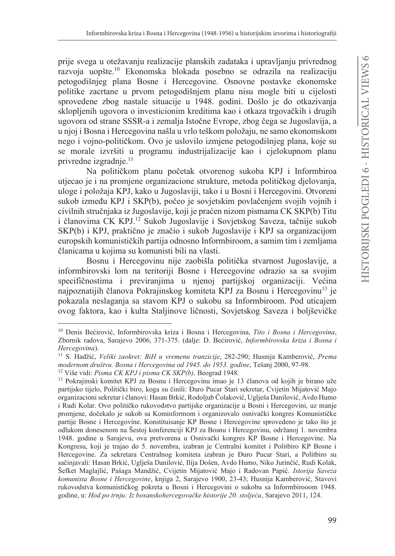prije svega u otežavanju realizacije planskih zadataka i upravljanju privrednog razvoja uopšte.<sup>10</sup> Ekonomska blokada posebno se odrazila na realizaciju petogodišnjeg plana Bosne i Hercegovine. Osnovne postavke ekonomske politike zacrtane u prvom petogodišnjem planu nisu mogle biti u cijelosti sprovedene zbog nastale situacije u 1948. godini. Došlo je do otkazivanja sklopljenih ugovora o investicionim kreditima kao i otkaza trgovačkih i drugih ugovora od strane SSSR-a i zemalja Istočne Evrope, zbog čega se Jugoslavija, a u nioj i Bosna i Hercegovina našla u vrlo teškom položaju, ne samo ekonomskom nego i vojno-političkom. Ovo je uslovilo izmjene petogodišnjeg plana, koje su se morale izvršiti u programu industrijalizacije kao i cjelokupnom planu privredne izgradnje.<sup>11</sup>

Na političkom planu početak otvorenog sukoba KPJ i Informbiroa utjecao je i na promjene organizacione strukture, metoda političkog djelovanja, uloge i položaja KPJ, kako u Jugoslaviji, tako i u Bosni i Hercegovini. Otvoreni sukob između KPJ i SKP(b), počeo je sovjetskim povlačenjem svojih vojnih i civilnih stručnjaka iz Jugoslavije, koji je praćen nizom pismama CK SKP(b) Titu i članovima CK KPJ.<sup>12</sup> Sukob Jugoslavije i Sovjetskog Saveza, tačnije sukob SKP(b) i KPJ, praktično je značio i sukob Jugoslavije i KPJ sa organizacijom europskih komunističkih partija odnosno Informbiroom, a samim tim i zemljama članicama u kojima su komunisti bili na vlasti.

Bosnu i Hercegovinu nije zaobišla politička stvarnost Jugoslavije, a informbirovski lom na teritoriji Bosne i Hercegovine odrazio sa sa svojim specifičnostima i previranjima u njenoj partijskoj organizaciji. Većina najpoznatijih članova Pokrajinskog komiteta KPJ za Bosnu i Hercegovinu<sup>13</sup> ie pokazala neslaganja sa stavom KPJ o sukobu sa Informbiroom. Pod uticajem ovog faktora, kao i kulta Staljinove ličnosti, Sovjetskog Saveza i boljševičke

<sup>&</sup>lt;sup>10</sup> Denis Bećirović, Informbirovska kriza i Bosna i Hercegovina, Tito i Bosna i Hercegovina, Zbornik radova, Sarajevo 2006, 371-375. (dalje: D. Bećirović, Informbirovska kriza i Bosna i Hercegovina).

<sup>&</sup>lt;sup>11</sup> S. Hadžić, Veliki zaokret: BiH u vremenu tranzicije, 282-290; Husnija Kamberović, Prema modernom društvu. Bosna i Hercegovina od 1945. do 1953. godine, Tešanj 2000, 97-98.

<sup>&</sup>lt;sup>12</sup> Više vidi: *Pisma CK KPJ i pisma CK SKP(b)*, Beograd 1948.

<sup>&</sup>lt;sup>13</sup> Pokrajinski komitet KPJ za Bosnu i Hercegovinu imao je 13 članova od kojih je birano uže partijsko tijelo, Politički biro, koga su činili: Đuro Pucar Stari sekretar, Cvijetin Mijatović Majo organizacioni sekretar i članovi: Hasan Brkić, Rodoljub Čolaković, Uglješa Danilović, Avdo Humo i Rudi Kolar. Ovo političko rukovodstvo partijske organizacije u Bosni i Hercegovini, uz manje promjene, dočekalo je sukob sa Kominformom i organizovalo osnivački kongres Komunističke partije Bosne i Hercegovine. Konstituisanje KP Bosne i Hercegovine sprovedeno je tako što je odlukom donesenom na Šestoj konferenciji KPJ za Bosnu i Hercegovinu, održanoj 1. novembra 1948. godine u Sarajevu, ova pretvorena u Osnivački kongres KP Bosne i Hercegovine. Na Kongresu, koji je trajao do 5. novembra, izabran je Centralni komitet i Politbiro KP Bosne i Hercegovine. Za sekretara Centralnog komiteta izabran je Đuro Pucar Stari, a Politbiro su sačinjavali: Hasan Brkić, Uglješa Danilović, Ilija Došen, Avdo Humo, Niko Jurinčić, Rudi Kolak, Šefket Maglajlić, Pašaga Mandžić, Cvijetin Mijatović Majo i Radovan Papić. Istorija Saveza komunista Bosne i Hercegovine, knjiga 2, Sarajevo 1900, 23-43; Husnija Kamberović, Stavovi rukovodstva komunističkog pokreta u Bosni i Hercegovini o sukobu sa Informbirooom 1948. godine, u: Hod po trnju: Iz bosanskohercegovačke historije 20. stoljeća, Sarajevo 2011, 124.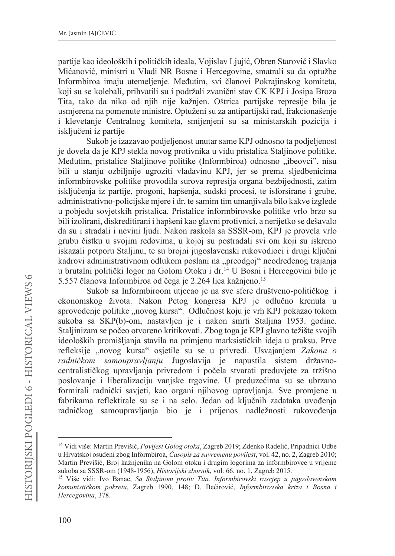partije kao ideoloških i političkih ideala, Vojislav Ljujić, Obren Starović i Slavko Mićanović, ministri u Vladi NR Bosne i Hercegovine, smatrali su da optužbe Informbiroa imaju utemeljenje. Međutim, svi članovi Pokrajinskog komiteta, koji su se kolebali, prihvatili su i podržali zvanični stav CK KPJ i Josipa Broza Tita, tako da niko od njih nije kažnjen. Oštrica partijske represije bila je usmjerena na pomenute ministre. Optuženi su za antipartijski rad, frakcionašenje i klevetanje Centralnog komiteta, smijenjeni su sa ministarskih pozicija i iskliučeni iz partije

Sukob je izazavao podjeljenost unutar same KPJ odnosno ta podjeljenost je dovela da je KPJ stekla novog protivnika u vidu pristalica Staljinove politike. Međutim, pristalice Staljinove politike (Informbiroa) odnosno "ibeovci", nisu bili u stanju ozbiljnije ugroziti vladavinu KPJ, jer se prema sljedbenicima informbirovske politike provodila surova represija organa bezbijednosti, zatim isključenja iz partije, progoni, hapšenja, sudski procesi, te isforsirane i grube, administrativno-policijske mjere i dr, te samim tim umanjivala bilo kakve izglede u pobjedu sovjetskih pristalica. Pristalice informbirovske politike vrlo brzo su bili izolirani, diskreditirani i hapšeni kao glavni protivnici, a nerijetko se dešavalo da su i stradali i nevini ljudi. Nakon raskola sa SSSR-om, KPJ je provela vrlo grubu čistku u svojim redovima, u kojoj su postradali svi oni koji su iskreno iskazali potporu Staljinu, te su brojni jugoslavenski rukovodioci i drugi ključni kadrovi administrativnom odlukom poslani na "preodgoj" neodređenog trajanja u brutalni politički logor na Golom Otoku i dr.<sup>14</sup> U Bosni i Hercegovini bilo je 5.557 članova Informbiroa od čega je 2.264 lica kažnjeno.<sup>15</sup>

Sukob sa Informbiroom utjecao je na sve sfere društveno-političkog i ekonomskog života. Nakon Petog kongresa KPJ je odlučno krenula u sprovođenje politike "novog kursa". Odlučnost koju je vrh KPJ pokazao tokom sukoba sa SKP(b)-om, nastavljen je i nakon smrti Staljina 1953. godine. Staljinizam se počeo otvoreno kritikovati. Zbog toga je KPJ glavno težište svojih ideoloških promišljanja stavila na primjenu marksističkih ideja u praksu. Prve refleksije "novog kursa" osjetile su se u privredi. Usvajanjem Zakona o radničkom samoupravljanju Jugoslavija je napustila sistem državnocentralističkog upravljanja privredom i počela stvarati preduvjete za tržišno poslovanje i liberalizaciju vanjske trgovine. U preduzećima su se ubrzano formirali radnički savjeti, kao organi njihovog upravljanja. Sve promjene u fabrikama reflektirale su se i na selo. Jedan od ključnih zadataka uvođenja radničkog samoupravljanja bio je i prijenos nadležnosti rukovođenja

<sup>&</sup>lt;sup>14</sup> Vidi više: Martin Previšić, Povijest Golog otoka, Zagreb 2019; Zdenko Radelić, Pripadnici Udbe u Hrvatskoj osuđeni zbog Informbiroa, Časopis za suvremenu povijest, vol. 42, no. 2, Zagreb 2010; Martin Previšić, Broj kažnjenika na Golom otoku i drugim logorima za informbirovce u vrijeme sukoba sa SSSR-om (1948-1956), Historijski zbornik, vol. 66, no. 1, Zagreb 2015.

<sup>&</sup>lt;sup>15</sup> Više vidi: Ivo Banac, Sa Staljinom protiv Tita. Informbirovski rascjep u jugoslavenskom komunističkom pokretu, Zagreb 1990, 148; D. Bećirović, Informbirovska kriza i Bosna i Hercegovina, 378.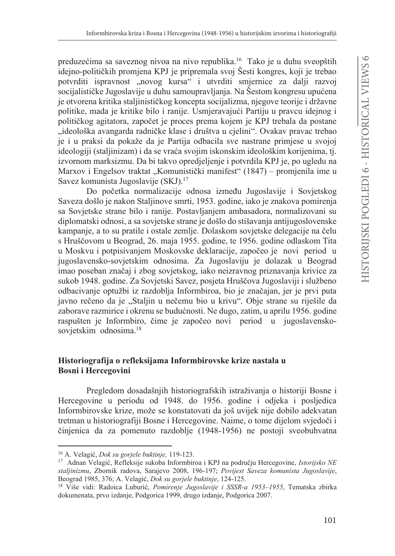preduzećima sa saveznog nivoa na nivo republika.<sup>16</sup> Tako je u duhu sveopštih idejno-političkih promjena KPJ je pripremala svoj Šesti kongres, koji je trebao potvrditi ispravnost "novog kursa" i utvrditi smjernice za dalji razvoj socijalističke Jugoslavije u duhu samoupravljanja. Na Šestom kongresu upućena je otvorena kritika staljinističkog koncepta socijalizma, njegove teorije i državne politike, mada je kritike bilo i ranije. Usmjeravajući Partiju u pravcu idejnog i političkog agitatora, započet je proces prema kojem je KPJ trebala da postane "ideološka avangarda radničke klase i društva u cjelini". Ovakav pravac trebao je i u praksi da pokaže da je Partija odbacila sve nastrane primjese u svojoj ideologiji (staljinizam) i da se vraća svojim iskonskim ideološkim korijenima, tj. izvornom marksizmu. Da bi takvo opredjeljenje i potvrdila KPJ je, po ugledu na Marxov i Engelsov traktat "Komunistički manifest" (1847) – promjenila ime u Savez komunista Jugoslavije (SKJ).<sup>17</sup>

Do početka normalizacije odnosa između Jugoslavije i Sovjetskog Saveza došlo je nakon Staljinove smrti, 1953. godine, iako je znakova pomirenja sa Sovjetske strane bilo i ranije. Postavljanjem ambasadora, normalizovani su diplomatski odnosi, a sa sovjetske strane je došlo do stišavanja antijugoslovenske kampanje, a to su pratile i ostale zemlje. Dolaskom sovjetske delegacije na čelu s Hruščovom u Beograd, 26. maja 1955. godine, te 1956. godine odlaskom Tita u Moskvu i potpisivanjem Moskovske deklaracije, započeo je novi period u jugoslavensko-sovjetskim odnosima. Za Jugoslaviju je dolazak u Beograd imao poseban značaj i zbog sovjetskog, iako neizravnog priznavanja krivice za sukob 1948. godine. Za Sovjetski Savez, posjeta Hruščova Jugoslaviji i službeno odbacivanje optužbi iz razdoblja Informbiroa, bio je značajan, jer je prvi puta javno rečeno da je "Staljin u nečemu bio u krivu". Obje strane su riješile da zaborave razmirice i okrenu se budućnosti. Ne dugo, zatim, u aprilu 1956. godine raspušten je Informbiro, čime je započeo novi period u jugoslavenskosovjetskim odnosima.<sup>18</sup>

## Historiografija o refleksijama Informbirovske krize nastala u **Bosni** i Hercegovini

Pregledom dosadašnjih historiografskih istraživanja o historiji Bosne i Hercegovine u periodu od 1948. do 1956. godine i odjeka i posljedica Informbirovske krize, može se konstatovati da još uvijek nije dobilo adekvatan tretman u historiografiji Bosne i Hercegovine. Naime, o tome dijelom svjedoči i činjenica da za pomenuto razdoblje (1948-1956) ne postoji sveobuhvatna

<sup>&</sup>lt;sup>16</sup> A. Velagić, *Dok su gorjele buktinje*, 119-123.

<sup>&</sup>lt;sup>17</sup> Adnan Velagić, Refleksije sukoba Informbiroa i KPJ na području Hercegovine, *Istorijsko NE* staljinizmu, Zbornik radova, Sarajevo 2008, 196-197; Povijest Saveza komunista Jugoslavije, Beograd 1985, 376; A. Velagić, *Dok su gorjele buktinje*, 124-125.

<sup>&</sup>lt;sup>18</sup> Više vidi: Radoica Luburić, *Pomirenje Jugoslavije i SSSR-a 1953-1955*, Tematska zbirka dokumenata, prvo izdanje, Podgorica 1999, drugo izdanje, Podgorica 2007.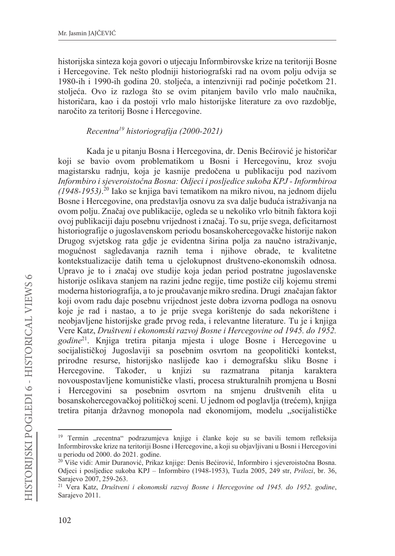historijska sinteza koja govori o utjecaju Informbirovske krize na teritoriji Bosne i Hercegovine. Tek nešto plodniji historiografski rad na ovom polju odvija se 1980-ih i 1990-ih godina 20. stoljeća, a intenzivniji rad počinje početkom 21. stoljeća. Ovo iz razloga što se ovim pitanjem bavilo vrlo malo naučnika, historičara, kao i da postoji vrlo malo historijske literature za ovo razdoblje, naročito za teritorij Bosne i Hercegovine.

# Recentra<sup>19</sup> historiografiia (2000-2021)

Kada je u pitanju Bosna i Hercegovina, dr. Denis Bećirović je historičar koji se bavio ovom problematikom u Bosni i Hercegovinu, kroz svoju magistarsku radnju, koja je kasnije predočena u publikaciju pod nazivom Informbiro i sjeveroistočna Bosna: Odjeci i posljedice sukoba KPJ - Informbiroa  $(1948-1953)$ .<sup>20</sup> Iako se knjiga bavi tematikom na mikro nivou, na jednom dijelu Bosne i Hercegovine, ona predstavlja osnovu za sva dalje buduća istraživanja na ovom polju. Značaj ove publikacije, ogleda se u nekoliko vrlo bitnih faktora koji ovoj publikaciji daju posebnu vrijednost i značaj. To su, prije svega, deficitarnost historiografije o jugoslavenskom periodu bosanskohercegovačke historije nakon Drugog svjetskog rata gdje je evidentna širina polja za naučno istraživanje, mogućnost sagledavanja raznih tema i njihove obrade, te kvalitetne kontekstualizacije datih tema u cielokupnost društveno-ekonomskih odnosa. Upravo je to i značaj ove studije koja jedan period postratne jugoslavenske historije oslikava stanjem na razini jedne regije, time postiže cilj kojemu stremi moderna historiografija, a to je proučavanje mikro sredina. Drugi značajan faktor koji ovom radu daje posebnu vrijednost jeste dobra izvorna podloga na osnovu koje je rad i nastao, a to je prije svega korištenje do sada nekorištene i neobjavljene historijske građe prvog reda, i relevantne literature. Tu je i knjiga Vere Katz, Društveni i ekonomski razvoj Bosne i Hercegovine od 1945. do 1952. godine<sup>21</sup>. Knjiga tretira pitanja mjesta i uloge Bosne i Hercegovine u socijalističkoj Jugoslaviji sa posebnim osvrtom na geopolitički kontekst, prirodne resurse, historijsko naslijeđe kao i demografsku sliku Bosne i Hercegovine. Također.  $\mathbf{u}$ knjizi su razmatrana pitania karaktera novouspostavljene komunističke vlasti, procesa strukturalnih promjena u Bosni i Hercegovini sa posebnim osvrtom na smjenu društvenih elita u bosanskohercegovačkoj političkoj sceni. U jednom od poglavlja (trećem), knjiga tretira pitanja državnog monopola nad ekonomijom, modelu "socijalističke

<sup>&</sup>lt;sup>19</sup> Termin "recentna" podrazumjeva knjige i članke koje su se bavili temom refleksija Informbirovske krize na teritoriji Bosne i Hercegovine, a koji su objavljivani u Bosni i Hercegovini u periodu od 2000. do 2021. godine.

<sup>&</sup>lt;sup>20</sup> Više vidi: Amir Duranović, Prikaz knjige: Denis Bećirović, Informbiro i sjeverojstočna Bosna. Odjeci i posljedice sukoba KPJ - Informbiro (1948-1953), Tuzla 2005, 249 str, Prilozi, br. 36, Sarajevo 2007, 259-263.

<sup>&</sup>lt;sup>21</sup> Vera Katz, Društveni i ekonomski razvoj Bosne i Hercegovine od 1945. do 1952. godine, Sarajevo 2011.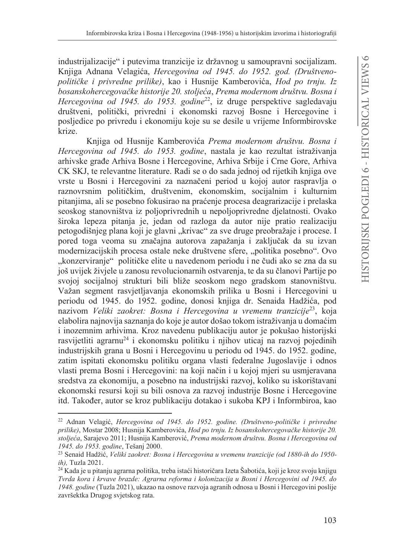industrijalizacije" i putevima tranzicije iz državnog u samoupravni socijalizam. Knjiga Adnana Velagića, Hercegovina od 1945. do 1952. god. (Društvenopolitičke i privredne prilike), kao i Husnije Kamberovića, Hod po trnju. Iz bosanskohercegovačke historije 20. stoljeća, Prema modernom društvu. Bosna i Hercegovina od 1945. do 1953. godine<sup>22</sup>, iz druge perspektive sagledavaju društveni, politički, privredni i ekonomski razvoj Bosne i Hercegovine i posljedice po privredu i ekonomiju koje su se desile u vrijeme Informbirovske krize.

Knjiga od Husnije Kamberovića Prema modernom društvu. Bosna i Hercegovina od 1945. do 1953. godine, nastala je kao rezultat istraživanja arhivske građe Arhiva Bosne i Hercegovine, Arhiva Srbije i Crne Gore, Arhiva CK SKJ, te relevantne literature. Radi se o do sada jednoj od rijetkih knjiga ove vrste u Bosni i Hercegovini za naznačeni period u kojoj autor raspravlja o raznovrsnim političkim, društvenim, ekonomskim, socijalnim i kulturnim pitanjima, ali se posebno fokusirao na praćenje procesa deagrarizacije i prelaska seoskog stanovništva iz poljoprivrednih u nepoljoprivredne djelatnosti. Ovako široka lepeza pitanja je, jedan od razloga da autor nije pratio realizaciju petogodišnjeg plana koji je glavni "krivac" za sve druge preobražaje i procese. I pored toga veoma su značajna autorova zapažanja i zaključak da su izvan modernizacijskih procesa ostale neke društvene sfere, "politika posebno". Ovo "konzerviranje" političke elite u navedenom periodu i ne čudi ako se zna da su još uvijek živjele u zanosu revolucionarnih ostvarenja, te da su članovi Partije po svojoj socijalnoj strukturi bili bliže seoskom nego gradskom stanovništvu. Važan segment rasvjetljavanja ekonomskih prilika u Bosni i Hercegovini u periodu od 1945. do 1952. godine, donosi knjiga dr. Senaida Hadžića, pod nazivom Veliki zaokret: Bosna i Hercegovina u vremenu tranzicije<sup>23</sup>, koja elabolira najnovija saznanja do koje je autor došao tokom istraživanja u domaćim i inozemnim arhivima. Kroz navedenu publikaciju autor je pokušao historijski rasvijetliti agrarnu<sup>24</sup> i ekonomsku politiku i njihov uticaj na razvoj pojedinih industrijskih grana u Bosni i Hercegovinu u periodu od 1945. do 1952. godine, zatim ispitati ekonomsku politiku organa vlasti federalne Jugoslavije i odnos vlasti prema Bosni i Hercegovini: na koji način i u kojoj mjeri su usmjeravana sredstva za ekonomiju, a posebno na industrijski razvoj, koliko su iskorištavani ekonomski resursi koji su bili osnova za razvoj industrije Bosne i Hercegovine itd. Također, autor se kroz publikaciju dotakao i sukoba KPJ i Informbiroa, kao

<sup>&</sup>lt;sup>22</sup> Adnan Velagić, *Hercegovina od 1945. do 1952. godine. (Društveno-političke i privredne* prilike). Mostar 2008: Husnija Kamberovića. Hod po trniu. Iz bosanskohercegovačke historije 20. stoljeća, Sarajevo 2011; Husnija Kamberović, Prema modernom društvu. Bosna i Hercegovina od 1945. do 1953. godine, Tešanj 2000.

<sup>&</sup>lt;sup>23</sup> Senaid Hadžić, Veliki zaokret: Bosna i Hercegovina u vremenu tranzicije (od 1880-ih do 1950ih), Tuzla 2021.

<sup>&</sup>lt;sup>24</sup> Kada je u pitanju agrarna politika, treba istaći historičara Izeta Šabotića, koji je kroz svoju knjigu Tvrda kora i krvave brazde: Agrarna reforma i kolonizacija u Bosni i Hercegovini od 1945. do 1948. godine (Tuzla 2021), ukazao na osnove razvoja agranih odnosa u Bosni i Hercegovini poslije završektka Drugog svjetskog rata.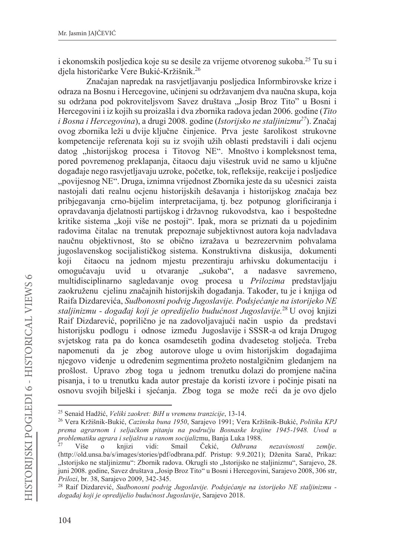i ekonomskih posljedica koje su se desile za vrijeme otvorenog sukoba.<sup>25</sup> Tu su i djela historičarke Vere Bukić-Kržišnik.<sup>26</sup>

Značajan napredak na rasvjetljavanju posljedica Informbirovske krize i odraza na Bosnu i Hercegovine, učinjeni su održavanjem dva naučna skupa, koja su održana pod pokrovitelisvom Savez društava "Josip Broz Tito" u Bosni i Hercegovini i iz kojih su proizašla i dva zbornika radova jedan 2006. godine (Tito i Bosna i Hercegovina), a drugi 2008. godine (Istorijsko ne staljinizmu<sup>27</sup>). Značaj ovog zbornika leži u dvije ključne činjenice. Prva jeste šarolikost strukovne kompetencije referenata koji su iz svojih užih oblasti predstavili i dali ocjenu datog "historijskog procesa i Titovog NE". Mnoštvo i kompleksnost tema, pored povremenog preklapanja, čitaocu daju višestruk uvid ne samo u ključne događaje nego rasvjetljavaju uzroke, početke, tok, refleksije, reakcije i posljedice "povijesnog NE". Druga, iznimna vrijednost Zbornika jeste da su učesnici zaista nastojali dati realnu ocjenu historijskih dešavanja i historijskog značaja bez pribjegavanja crno-bijelim interpretacijama, tj. bez potpunog glorificiranja i opravdavanja djelatnosti partijskog i državnog rukovodstva, kao i bespoštedne kritike sistema "koji više ne postoji". Ipak, mora se priznati da u pojedinim radovima čitalac na trenutak prepoznaje subjektivnost autora koja nadvladava naučnu objektivnost, što se obično izražava u bezrezervnim pohvalama jugoslavenskog socijalističkog sistema. Konstruktivna diskusija, dokumenti čitaocu na jednom mjestu prezentiraju arhivsku dokumentaciju i koji omogućavaju uvid  $\mathbf{u}$ otvaranje "sukoba", a nadasve savremeno, multidisciplinarno sagledavanje ovog procesa u Prilozima predstavljaju zaokruženu cielinu značajnih historijskih događania. Također, tu je i knijga od Raifa Dizdarevića, Sudbonosni podvig Jugoslavije. Podsjećanje na istorijeko NE staljinizmu - događaj koji je opredijelio budućnost Jugoslavije.<sup>28</sup> U ovoj knjizi Raif Dizdarević, poprilično je na zadovoljavajući način uspio da predstavi historijsku podlogu i odnose između Jugoslavije i SSSR-a od kraja Drugog svjetskog rata pa do konca osamdesetih godina dvadesetog stoljeća. Treba napomenuti da je zbog autorove uloge u ovim historijskim događajima njegovo viđenje u određenim segmentima prožeto nostalgičnim gledanjem na prošlost. Upravo zbog toga u jednom trenutku dolazi do promjene načina pisanja, i to u trenutku kada autor prestaje da koristi izvore i počinje pisati na osnovu svojih bilješki i sjećanja. Zbog toga se može reći da je ovo djelo

<sup>&</sup>lt;sup>25</sup> Senaid Hadžić, Veliki zaokret: BiH u vremenu tranzicije, 13-14.

<sup>&</sup>lt;sup>26</sup> Vera Kržišnik-Bukić, Cazinska buna 1950, Sarajevo 1991; Vera Kržišnik-Bukić, Politika KPJ prema agrarnom i seljačkom pitanju na području Bosnaske krajine 1945-1948. Uvod u problematiku agrara i seljaštva u ranom socijalizmu, Banja Luka 1988.

Više  $\circ$ knjizi vidi: Smail Čekić, Odbrana nezavisnosti zemlje. (http://old.unsa.ba/s/images/stories/pdf/odbrana.pdf. Pristup: 9.9.2021); Dženita Sarač, Prikaz: "Istorijsko ne staljinizmu": Zbornik radova. Okrugli sto "Istorijsko ne staljinizmu", Sarajevo, 28. juni 2008. godine, Savez društava "Josip Broz Tito" u Bosni i Hercegovini, Sarajevo 2008, 306 str, Prilozi, br. 38, Sarajevo 2009, 342-345.

<sup>&</sup>lt;sup>28</sup> Raif Dizdarević, Sudbonosni podvig Jugoslavije. Podsjećanje na istorijeko NE staljinizmu događaj koji je opredijelio budućnost Jugoslavije, Sarajevo 2018.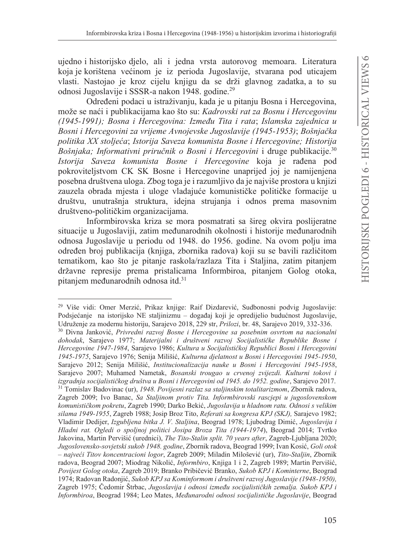ujedno i historijsko djelo, ali i jedna vrsta autorovog memoara. Literatura koja je korištena većinom je iz perioda Jugoslavije, stvarana pod uticajem vlasti. Nastojao je kroz cijelu knjigu da se drži glavnog zadatka, a to su odnosi Jugoslavije i SSSR-a nakon 1948. godine.<sup>29</sup>

Određeni podaci u istraživanju, kada je u pitanju Bosna i Hercegovina. može se naći i publikacijama kao što su: Kadrovski rat za Bosnu i Hercegovinu (1945-1991); Bosna i Hercegovina: Između Tita i rata; Islamska zajednica u Bosni i Hercegovini za vrijeme Avnojevske Jugoslavije (1945-1953); Bošnjačka politika XX stoljeća; Istorija Saveza komunista Bosne i Hercegovine; Historija Bošnjaka; Informativni priručnik o Bosni i Hercegovini i druge publikacije.<sup>30</sup> Istorija Saveza komunista Bosne i Hercegovine koja je rađena pod pokroviteljstvom CK SK Bosne i Hercegovine unaprijed joj je namijenjena posebna društvena uloga. Zbog toga je i razumljivo da je najviše prostora u knjizi zauzela obrada mjesta i uloge vladajuće komunističke političke formacije u društvu, unutrašnja struktura, idejna strujanja i odnos prema masovnim društveno-političkim organizacijama.

Informbirovska kriza se mora posmatrati sa šireg okvira poslijeratne situacije u Jugoslaviji, zatim međunarodnih okolnosti i historije međunarodnih odnosa Jugoslavije u periodu od 1948. do 1956. godine. Na ovom polju ima određen broj publikacija (knjiga, zbornika radova) koji su se bavili različitom tematikom, kao što je pitanje raskola/razlaza Tita i Staljina, zatim pitanjem državne represije prema pristalicama Informbiroa, pitanjem Golog otoka, pitanjem međunarodnih odnosa itd.<sup>31</sup>

<sup>&</sup>lt;sup>29</sup> Više vidi: Omer Merzić, Prikaz knjige: Raif Dizdarević, Sudbonosni podvig Jugoslavije: Podsjećanje na istorijsko NE staljinizmu – događaj koji je opredijelio budućnost Jugoslavije, Udruženje za modernu historiju, Sarajevo 2018, 229 str, Prilozi, br. 48, Sarajevo 2019, 332-336. 30 Divna Janković, Privredni razvoj Bosne i Hercegovine sa posebnim osvrtom na nacionalni dohodak, Sarajevo 1977; Materijalni i društveni razvoj Socijalističke Republike Bosne i Hercegovine 1947-1984, Sarajevo 1986; Kultura u Socijalističkoj Republici Bosni i Hercegovini 1945-1975, Sarajevo 1976; Senija Milišić, Kulturna djelatnost u Bosni i Hercegovini 1945-1950, Sarajevo 2012; Senija Milišić, Institucionalizacija nauke u Bosni i Hercegovini 1945-1958, Sarajevo 2007; Muhamed Nametak, Bosanski trougao u crvenoj zvijezdi. Kulturni tokovi i izgradnja socijalističkog društva u Bosni i Hercegovini od 1945. do 1952. godine, Sarajevo 2017. <sup>31</sup> Tomislav Badovinac (ur), 1948. Povijesni razlaz sa staljinskim totalitarizmom, Zbornik radova, Zagreb 2009; Ivo Banac, Sa Staljinom protiv Tita. Informbirovski rascjepi u jugoslovenskom komunističkom pokretu, Zagreb 1990; Darko Bekić, Jugoslavija u hladnom ratu. Odnosi s velikim silama 1949-1955, Zagreb 1988; Josip Broz Tito, Referati sa kongresa KPJ (SKJ), Sarajevo 1982; Vladimir Dedijer, Izgubljena bitka J. V. Staljina, Beograd 1978; Ljubodrag Dimić, Jugoslavija i Hladni rat. Ogledi o spoljnoj politici Josipa Broza Tita (1944-1974), Beograd 2014; Tvrtko Jakovina, Martin Pervišić (urednici), The Tito-Stalin split. 70 years after, Zagreb-Ljubljana 2020; Jugoslovensko-sovjetski sukob 1948. godine, Zbornik radova, Beograd 1999; Ivan Kosić, Goli otok - najveći Titov koncentracioni logor, Zagreb 2009; Miladin Milošević (ur), Tito-Staljin, Zbornik radova, Beograd 2007; Miodrag Nikolić, *Informbiro*, Knjiga 1 i 2, Zagreb 1989; Martin Pervišić, Povijest Golog otoka, Zagreb 2019; Branko Pribičević Branko, Sukob KPJ i Kominterne, Beograd 1974; Radovan Radonjić, Sukob KPJ sa Kominformom i društveni razvoj Jugoslavije (1948-1950), Zagreb 1975; Čedomir Štrbac, Jugoslavija i odnosi između socijalističkih zemalja. Sukob KPJ i Informbiroa, Beograd 1984; Leo Mates, Međunarodni odnosi socijalističke Jugoslavije, Beograd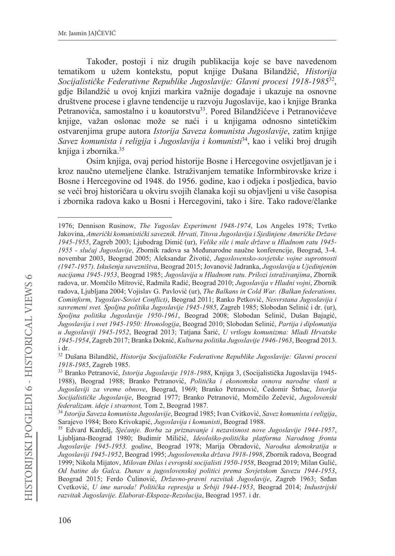Također, postoji i niz drugih publikacija koje se bave navedenom tematikom u užem kontekstu, poput knjige Dušana Bilandžić, Historija Socijalističke Federativne Republike Jugoslavije: Glavni procesi 1918-1985<sup>32</sup>, gdje Bilandžić u ovoj knjizi markira važnije događaje i ukazuje na osnovne društvene procese i glavne tendencije u razvoju Jugoslavije, kao i knjige Branka Petranovića, samostalno i u koautorstvu<sup>33</sup>. Pored Bilandžićeve i Petranovićeve knjige, važan oslonac može se naći i u knjigama odnosno sintetičkim ostvareniima grupe autora Istorija Saveza komunista Jugoslavije, zatim knjige Savez komunista i religija i Jugoslavija i komunisti<sup>34</sup>, kao i veliki broj drugih knjiga i zbornika.<sup>35</sup>

Osim knjiga, ovaj period historije Bosne i Hercegovine osvjetljavan je i kroz naučno utemeljene članke. Istraživanjem tematike Informbirovske krize i Bosne i Hercegovine od 1948. do 1956. godine, kao i odjeka i posljedica, bavio se veći broj historičara u okviru svojih članaka koji su objavljeni u više časopisa i zbornika radova kako u Bosni i Hercegovini, tako i šire. Tako radove/članke

<sup>1976;</sup> Dennison Rusinow, The Yugoslav Experiment 1948-1974, Los Angeles 1978; Tyrtko Jakovina, Američki komunistički saveznik. Hrvati, Titova Jugoslavija i Sjedinjene Američke Države 1945-1955, Zagreb 2003; Ljubodrag Dimić (ur), Velike sile i male države u Hladnom ratu 1945-1955 - slučaj Jugoslavije, Zbornik radova sa Međunarodne naučne konferencije, Beograd, 3-4. novembar 2003, Beograd 2005; Aleksandar Životić, Jugoslovensko-sovjetske vojne suprotnosti (1947-1957). Iskušenja savezništva, Beograd 2015; Jovanović Jadranka, Jugoslavija u Ujedinjenim nacijama 1945-1953, Beograd 1985; Jugoslavija u Hladnom ratu. Prilozi istraživanjima, Zbornik radova, ur. Momčilo Mitrović, Radmila Radić, Beograd 2010; Jugoslavija v Hladni vojni, Zbornik radova, Ljubljana 2004; Vojislav G. Pavlović (ur), The Balkans in Cold War. (Balkan federations, Cominform, Yugoslav-Soviet Conflict), Beograd 2011; Ranko Petković, Nesvrstana Jugoslavija i savremeni svet. Spoljna politika Jugoslavije 1945-1985, Zagreb 1985; Slobodan Selinić i dr. (ur), Spoljna politika Jugoslavije 1950-1961, Beograd 2008; Slobodan Selinić, Dušan Bajagić, Jugoslavija i svet 1945-1950: Hronologija, Beograd 2010; Slobodan Selinić, Partija i diplomatija u Jugoslaviji 1945-1952, Beograd 2013; Tatjana Šarić, U vrtlogu komunizma: Mladi Hrvatske 1945-1954, Zagreb 2017; Branka Doknić, Kulturna politika Jugoslavije 1946-1963, Beograd 2013. i dr.

<sup>&</sup>lt;sup>32</sup> Dušana Bilandžić, Historija Socijalističke Federativne Republike Jugoslavije: Glavni procesi 1918-1985, Zagreb 1985.

<sup>&</sup>lt;sup>33</sup> Branko Petranović, *Istorija Jugoslavije 1918-1988*, Knjiga 3, (Socijalistička Jugoslavija 1945-1988), Beograd 1988; Branko Petranović, Politička i ekonomska osnova narodne vlasti u Jugoslaviji za vreme obnove, Beograd, 1969; Branko Petranović, Čedomir Štrbac, Istorija Socijalističke Jugoslavije, Beograd 1977; Branko Petranović, Momčilo Zečević, Jugolovenski federalizam. ideje i stvarnost, Tom 2, Beograd 1987.

<sup>&</sup>lt;sup>34</sup> Istorija Saveza komunista Jugoslavije, Beograd 1985; Ivan Cvitković, Savez komunista i religija, Sarajevo 1984; Boro Krivokapić, Jugoslavija i komunisti, Beograd 1988.

<sup>&</sup>lt;sup>35</sup> Edvard Kardeli, Siećanje. Borba za priznavanje i nezavisnost nove Jugoslavije 1944-1957, Ljubljana-Beograd 1980; Budimir Miličić, Ideološko-politička platforma Narodnog fronta Jugoslavije 1945-1953. godine, Beograd 1978; Marija Obradović, Narodna demokratija u Jugoslaviji 1945-1952, Beograd 1995; Jugoslovenska država 1918-1998, Zbornik radova, Beograd 1999; Nikola Mijatov, Milovan Đilas i evropski socijalisti 1950-1958, Beograd 2019; Milan Gulić, Od batine do Galca. Dunav u jugoslovenskoj politici prema Sovjetskom Savezu 1944-1953, Beograd 2015; Ferdo Čulinović, *Državno-pravni razvitak Jugoslavije*, Zagreb 1963; Srđan Cvetković, U ime naroda! Politička represija u Srbiji 1944-1953, Beograd 2014; Industrijski razvitak Jugoslavije. Elaborat-Ekspoze-Rezolucija, Beograd 1957. i dr.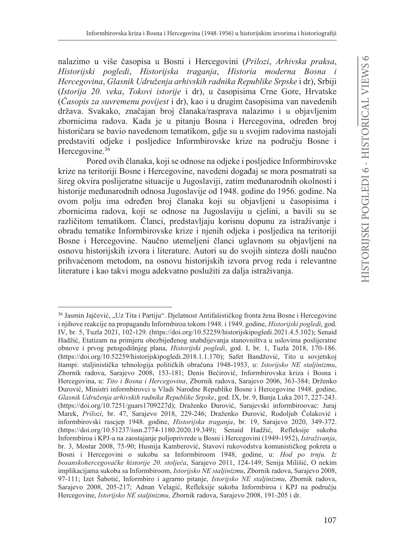nalazimo u više časopisa u Bosni i Hercegovini (Prilozi, Arhivska praksa, Historijski pogledi, Historijska traganja, Historia moderna Bosna i Hercegovina, Glasnik Udruženja arhivskih radnika Republike Srpske i dr), Srbiji (Istorija 20. veka, Tokovi istorije i dr), u časopisima Crne Gore, Hrvatske (Časopis za suvremenu povijest i dr), kao i u drugim časopisima van navedenih država. Svakako, značajan broj članaka/rasprava nalazimo i u objavljenim zbornicima radova. Kada je u pitanju Bosna i Hercegovina, određen broj historičara se bavio navedenom tematikom, gdje su u svojim radovima nastojali predstaviti odjeke i posljedice Informbirovske krize na području Bosne i Hercegovine.<sup>36</sup>

Pored ovih članaka, koji se odnose na odjeke i posljedice Informbirovske krize na teritoriji Bosne i Hercegovine, navedeni događaj se mora posmatrati sa šireg okvira poslijeratne situacije u Jugoslaviji, zatim međunarodnih okolnosti i historije međunarodnih odnosa Jugoslavije od 1948. godine do 1956. godine. Na ovom polju ima određen broj članaka koji su objavljeni u časopisima i zbornicima radova, koji se odnose na Jugoslaviju u cjelini, a bavili su se različitom tematikom. Članci, predstavljaju korisnu dopunu za istraživanje i obradu tematike Informbirovske krize i njenih odjeka i posljedica na teritoriji Bosne i Hercegovine. Naučno utemeljeni članci uglavnom su objavljeni na osnovu historijskih izvora i literature. Autori su do svojih sinteza došli naučno prihvaćenom metodom, na osnovu historijskih izvora prvog reda i relevantne literature i kao takvi mogu adekvatno poslužiti za dalja istraživanja.

<sup>&</sup>lt;sup>36</sup> Jasmin Jajčević, "Uz Tita i Partiju". Djelatnost Antifašističkog fronta žena Bosne i Hercegovine i njihove reakcije na propagandu Informbiroa tokom 1948. i 1949. godine, Historijski pogledi, god. IV, br. 5, Tuzla 2021, 102-129. (https://doi.org/10.52259/historijskipogledi.2021.4.5.102); Senaid Hadžić, Etatizam na primjeru obezbijeđenog snabdijevanja stanovništva u uslovima poslijeratne obnove i prvog petogodišnjeg plana, *Historijski pogledi*, god. I, br. 1, Tuzla 2018, 170-186. (https://doi.org/10.52259/historijskipogledi.2018.1.1.170); Safet Bandžović, Tito u sovjetskoj štampi: staljinistička tehnologija političkih obračuna 1948-1953, u: Istorijsko NE staljinizmu, Zbornik radova, Sarajevo 2008, 153-181; Denis Bećirović, Informbirovska kriza i Bosna i Hercegovina, u: Tito i Bosna i Hercegovina, Zbornik radova, Sarajevo 2006, 363-384; Drženko Đurović, Ministri informbirovci u Vladi Narodne Republike Bosne i Hercegovine 1948. godine, Glasnik Udruženja arhivskih radnika Republike Srpske, god. IX, br. 9, Banja Luka 2017, 227-243. (https://doi.org/10.7251/guars1709227d); Draženko Đurović, Sarajevski informbiroovac: Juraj Marek, Prilozi, br. 47, Sarajevo 2018, 229-246; Draženko Đurović, Rodoljub Čolaković i informbirovski rascjep 1948. godine, Historijska traganja, br. 19, Sarajevo 2020, 349-372. (https://doi.org/10.51237/issn.2774-1180.2020.19.349); Senaid Hadžić, Refleksije sukoba Informbiroa i KPJ-a na zaostajanje poljoprivrede u Bosni i Hercegovini (1949-1952), Istraživanja, br. 3, Mostar 2008, 75-90; Husnija Kamberović, Stavovi rukovodstva komunističkog pokreta u Bosni i Hercegovini o sukobu sa Informbiroom 1948, godine, u: Hod po trnju. Iz bosanskohercegovačke historije 20. stoljeća, Sarajevo 2011, 124-149; Senija Milišić, O nekim implikacijama sukoba sa Informbiroom, Istorijsko NE staljinizmu, Zbornik radova, Sarajevo 2008, 97-111; Izet Šabotić, Informbiro i agrarno pitanje, Istorijsko NE staljinizmu, Zbornik radova, Sarajevo 2008, 205-217; Adnan Velagić, Refleksije sukoba Informbiroa i KPJ na području Hercegovine, Istorijsko NE staljinizmu, Zbornik radova, Sarajevo 2008, 191-205 i dr.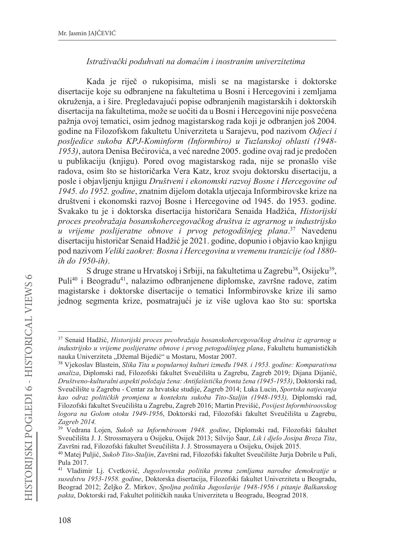## Istraživački poduhvati na domaćim i inostranim univerzitetima

Kada je riječ o rukopisima, misli se na magistarske i doktorske disertacije koje su odbranjene na fakultetima u Bosni i Hercegovini i zemljama okruženia, a i šire. Pregledavajući popise odbranienih magistarskih i doktorskih disertacija na fakultetima, može se uočiti da u Bosni i Hercegovini nije posvećena pažnja ovoj tematici, osim jednog magistarskog rada koji je odbranjen još 2004. godine na Filozofskom fakultetu Univerziteta u Sarajevu, pod nazivom Odieci i posljedice sukoba KPJ-Kominform (Informbiro) u Tuzlanskoj oblasti (1948-1953), autora Denisa Bećirovića, a već naredne 2005. godine ovaj rad je predočen u publikaciju (knjigu). Pored ovog magistarskog rada, nije se pronašlo više radova, osim što se historičarka Vera Katz, kroz svoju doktorsku disertaciju, a posle i objavljenju knjigu Društveni i ekonomski razvoj Bosne i Hercegovine od 1945. do 1952. godine, znatnim dijelom dotakla utjecaja Informbirovske krize na društveni i ekonomski razvoj Bosne i Hercegovine od 1945. do 1953. godine. Svakako tu je i doktorska disertacija historičara Senajda Hadžića, Historijski proces preobražaja bosanskohercegovačkog društva iz agrarnog u industrijsko u vrijeme poslijeratne obnove i prvog petogodišnjeg plana.<sup>37</sup> Navedenu disertaciju historičar Senaid Hadžić je 2021. godine, dopunio i objavio kao knjigu pod nazivom Veliki zaokret: Bosna i Hercegovina u vremenu tranzicije (od 1880 $ih$  do 1950- $ih$ ).

S druge strane u Hrvatskoj i Srbiji, na fakultetima u Zagrebu<sup>38</sup>, Osijeku<sup>39</sup>, Puli<sup>40</sup> i Beogradu<sup>41</sup>, nalazimo odbranjenene diplomske, završne radove, zatim magistarske i doktorske disertacije o tematici Informbirovske krize ili samo jednog segmenta krize, posmatrajući je iz više uglova kao što su: sportska

<sup>37</sup> Senaid Hadžić, Historijski proces preobražaja bosanskohercegovačkog društva iz agrarnog u industriisko u vrijeme poslijeratne obnove i prvog petogodišnjeg plana, Fakultetu humanističkih nauka Univerziteta "Džemal Bijedić" u Mostaru, Mostar 2007.

<sup>&</sup>lt;sup>38</sup> Vjekoslav Blastein, Slika Tita u popularnoj kulturi između 1948. i 1953. godine: Komparativna analiza, Diplomski rad, Filozofski fakultet Sveučilišta u Zagrebu, Zagreb 2019; Dijana Dijanić, Društveno-kulturalni aspekti položaja žena: Antifašistička fronta žena (1945-1953), Doktorski rad, Sveučilište u Zagrebu - Centar za hrvatske studije, Zagreb 2014; Luka Lucin, Sportska natjecanja kao odraz političkih promjena u kontekstu sukoba Tito-Staljin (1948-1953), Diplomski rad, Filozofski fakultet Sveučilišta u Zagrebu, Zagreb 2016; Martin Previšić, Povijest Informbiroovskog logora na Golom otoku 1949-1956, Doktorski rad, Filozofski fakultet Sveučilišta u Zagrebu, Zagreb 2014.

<sup>&</sup>lt;sup>39</sup> Vedrana Lojen, Sukob sa Informbiroom 1948. godine, Diplomski rad, Filozofski fakultet Sveučilišta J. J. Strossmayera u Osijeku, Osijek 2013; Silvijo Šaur, Lik i djelo Josipa Broza Tita, Završni rad, Filozofski fakultet Sveučilišta J. J. Strossmayera u Osijeku, Osijek 2015.

<sup>40</sup> Matej Puljić, Sukob Tito-Staljin, Završni rad, Filozofski fakultet Sveučilište Jurja Dobrile u Puli, Pula 2017.

<sup>41</sup> Vladimir Lj. Cvetković, Jugoslovenska politika prema zemljama narodne demokratije u susedstvu 1953-1958. godine, Doktorska disertacija, Filozofski fakultet Univerziteta u Beogradu, Beograd 2012; Željko Ž. Mirkov, Spoljna politika Jugoslavije 1948-1956 i pitanje Balkanskog pakta, Doktorski rad, Fakultet političkih nauka Univerziteta u Beogradu, Beograd 2018.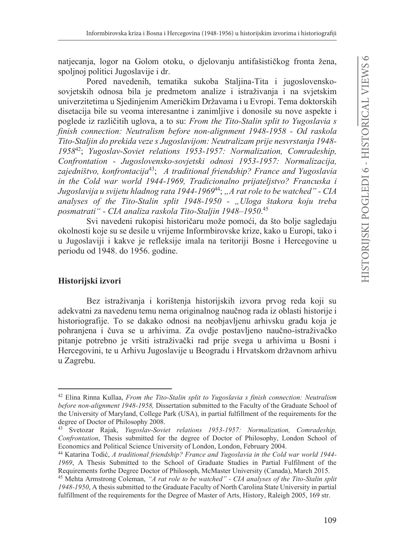natjecanja, logor na Golom otoku, o djelovanju antifašističkog fronta žena, spoljnoj politici Jugoslavije i dr.

Pored navedenih, tematika sukoba Staljina-Tita i jugoslovenskosovjetskih odnosa bila je predmetom analize i istraživanja i na svjetskim univerzitetima u Siedinienim Američkim Državama i u Evropi. Tema doktorskih disetacija bile su veoma interesantne i zanimljive i donosile su nove aspekte i poglede iz različitih uglova, a to su: From the Tito-Stalin split to Yugoslavia s finish connection: Neutralism before non-alignment 1948-1958 - Od raskola Tito-Staljin do prekida veze s Jugoslavijom: Neutralizam prije nesvrstanja 1948-1958<sup>42</sup>; Yugoslav-Soviet relations 1953-1957; Normalization, Comradeship, Confrontation - Jugoslovensko-sovjetski odnosi 1953-1957: Normalizacija, zajedništvo, konfrontacija<sup>43</sup>; A traditional friendship? France and Yugoslavia in the Cold war world 1944-1969, Tradicionalno prijateljstvo? Francuska i Jugoslavija u svijetu hladnog rata 1944-1969<sup>44</sup>; "A rat role to be watched" - CIA analyses of the Tito-Stalin split 1948-1950 - "Uloga štakora koju treba posmatrati" - CIA analiza raskola Tito-Staljin 1948-1950.45

Svi navedeni rukopisi historičaru može pomoći, da što bolje sagledaju okolnosti koje su se desile u vrijeme Informbirovske krize, kako u Europi, tako i u Jugoslaviji i kakve je refleksije imala na teritoriji Bosne i Hercegovine u periodu od 1948. do 1956. godine.

## Historijski izvori

Bez istraživanja i korištenja historijskih izvora prvog reda koji su adekvatni za navedenu temu nema originalnog naučnog rada iz oblasti historije i historiografije. To se dakako odnosi na neobjavljenu arhivsku građu koja je pohranjena i čuva se u arhivima. Za ovdje postavljeno naučno-istraživačko pitanje potrebno je vršiti istraživački rad prije svega u arhivima u Bosni i Hercegovini, te u Arhivu Jugoslavije u Beogradu i Hrvatskom državnom arhivu u Zagrebu.

<sup>&</sup>lt;sup>42</sup> Elina Rinna Kullaa, From the Tito-Stalin split to Yugoslavia s finish connection: Neutralism before non-alignment 1948-1958, Dissertation submitted to the Faculty of the Graduate School of the University of Maryland, College Park (USA), in partial fulfillment of the requirements for the degree of Doctor of Philosophy 2008.

<sup>&</sup>lt;sup>43</sup> Svetozar Rajak, *Yugoslav-Soviet relations 1953-1957: Normalization, Comradeship,* Confrontation, Thesis submitted for the degree of Doctor of Philosophy, London School of Economics and Political Science University of London, London, February 2004.

<sup>&</sup>lt;sup>44</sup> Katarina Todić, A traditional friendship? France and Yugoslavia in the Cold war world 1944-1969. A Thesis Submitted to the School of Graduate Studies in Partial Fulfilment of the Requirements for the Degree Doctor of Philosoph, McMaster University (Canada), March 2015.

<sup>&</sup>lt;sup>45</sup> Mehta Armstrong Coleman, "A rat role to be watched" - CIA analyses of the Tito-Stalin split 1948-1950, A thesis submitted to the Graduate Faculty of North Carolina State University in partial fulfillment of the requirements for the Degree of Master of Arts, History, Raleigh 2005, 169 str.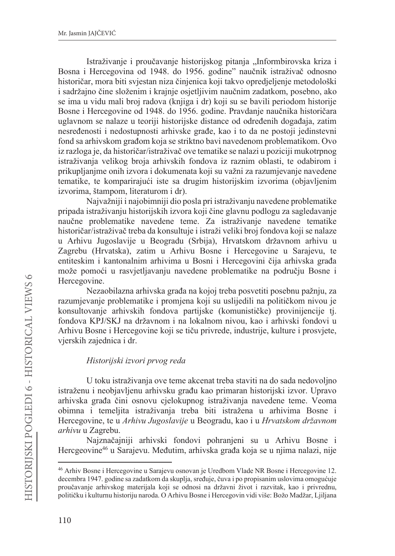Istraživanje i proučavanje historijskog pitanja "Informbirovska kriza i Bosna i Hercegovina od 1948. do 1956. godine" naučnik istraživač odnosno historičar, mora biti svjestan niza činjenica koji takvo opredjeljenje metodološki i sadržajno čine složenim i krajnje osjetljivim naučnim zadatkom, posebno, ako se ima u vidu mali broj radova (knjiga i dr) koji su se bavili periodom historije Bosne i Hercegovine od 1948. do 1956. godine. Pravdanje naučnika historičara uglavnom se nalaze u teoriji historijske distance od određenih događaja, zatim nesređenosti i nedostupnosti arhivske građe, kao i to da ne postoji jedinstevni fond sa arhivskom građom koja se striktno bavi navedenom problematikom. Ovo iz razloga je, da historičar/istraživač ove tematike se nalazi u poziciji mukotrpnog istraživanja velikog broja arhivskih fondova iz raznim oblasti, te odabirom i prikupljanjme onih izvora i dokumenata koji su važni za razumjevanje navedene tematike, te komparirajući iste sa drugim historijskim izvorima (objavljenim izvorima, štampom, literaturom i dr).

Najvažniji i najobimniji dio posla pri istraživanju navedene problematike pripada istraživanju historijskih izvora koji čine glavnu podlogu za sagledavanje naučne problematike navedene teme. Za istraživanje navedene tematike historičar/istraživač treba da konsultuje i istraži veliki broj fondova koji se nalaze u Arhivu Jugoslavije u Beogradu (Srbija), Hrvatskom državnom arhivu u Zagrebu (Hrvatska), zatim u Arhivu Bosne i Hercegovine u Sarajevu, te entiteskim i kantonalnim arhivima u Bosni i Hercegovini čija arhivska građa može pomoći u rasvjetljavanju navedene problematike na području Bosne i Hercegovine.

Nezaobilazna arhivska građa na kojoj treba posvetiti posebnu pažnju, za razumjevanje problematike i promjena koji su uslijedili na političkom nivou je konsultovanje arhivskih fondova partijske (komunističke) provinijencije tj. fondova KPJ/SKJ na državnom i na lokalnom nivou, kao i arhivski fondovi u Arhivu Bosne i Hercegovine koji se tiču privrede, industrije, kulture i prosvjete, vjerskih zajednica i dr.

## Historijski izvori prvog reda

U toku istraživanja ove teme akcenat treba staviti na do sada nedovoljno istraženu i neobjavljenu arhivsku građu kao primaran historijski izvor. Upravo arhivska građa čini osnovu cjelokupnog istraživanja navedene teme. Veoma obimna i temeljita istraživanja treba biti istražena u arhivima Bosne i Hercegovine, te u Arhivu Jugoslavije u Beogradu, kao i u Hrvatskom državnom arhivu u Zagrebu.

Najznačajniji arhivski fondovi pohranjeni su u Arhivu Bosne i Hercgeovine<sup>46</sup> u Sarajevu. Međutim, arhivska građa koja se u njima nalazi, nije

<sup>&</sup>lt;sup>46</sup> Arhiv Bosne i Hercegovine u Sarajevu osnovan je Uredbom Vlade NR Bosne i Hercegovine 12. decembra 1947. godine sa zadatkom da skuplja, sređuje, čuva i po propisanim uslovima omogućuje proučavanje arhivskog materijala koji se odnosi na državni život i razvitak, kao i privrednu, političku i kulturnu historiju naroda. O Arhivu Bosne i Hercegovin vidi više: Božo Madžar, Ljiljana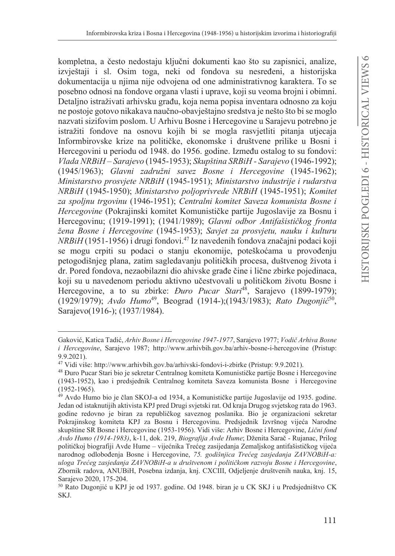kompletna, a često nedostaju ključni dokumenti kao što su zapisnici, analize, izvještaji i sl. Osim toga, neki od fondova su nesređeni, a historijska dokumentacija u njima nije odvojena od one administrativnog karaktera. To se posebno odnosi na fondove organa vlasti i uprave, koji su veoma brojni i obimni. Detalino istraživati arhivsku građu, koja nema popisa inventara odnosno za koju ne postoje gotovo nikakava naučno-obavještajno sredstva je nešto što bi se moglo nazvati sizifovim poslom. U Arhivu Bosne i Hercegovine u Sarajevu potrebno je istražiti fondove na osnovu kojih bi se mogla rasvietliti pitania utjecaja Informbirovske krize na političke, ekonomske i društvene prilike u Bosni i Hercegovini u periodu od 1948. do 1956. godine. Između ostalog to su fondovi: Vlada NRBiH - Sarajevo (1945-1953); Skupština SRBiH - Sarajevo (1946-1992); (1945/1963); Glavni zadružni savez Bosne i Hercegovine (1945-1962); Ministarstvo prosvjete NRBiH (1945-1951); Ministarstvo industrije i rudarstva NRBiH (1945-1950); Ministarstvo poljoprivrede NRBiH (1945-1951); Komitet za spoljnu trgovinu (1946-1951); Centralni komitet Saveza komunista Bosne i Hercegovine (Pokrajinski komitet Komunističke partije Jugoslavije za Bosnu i Hercegovinu; (1919-1991); (1941/1989); Glavni odbor Antifašističkog fronta žena Bosne i Hercegovine (1945-1953); Savjet za prosvjetu, nauku i kulturu NRBiH (1951-1956) i drugi fondovi.<sup>47</sup> Iz navedenih fondova značajni podaci koji se mogu crpiti su podaci o stanju ekonomije, poteškoćama u provođenju petogodišnieg plana, zatim sagledavanju političkih procesa, duštvenog života i dr. Pored fondova, nezaobilazni dio ahivske građe čine i lične zbirke pojedinaca, koji su u navedenom periodu aktivno učestvovali u političkom životu Bosne i Hercegovine, a to su zbirke: *Đuro Pucar Stari<sup>48</sup>*, Sarajevo (1899-1979); (1929/1979); Avdo Humo<sup>49</sup>, Beograd (1914-); (1943/1983); Rato Dugonjić<sup>50</sup>, Sarajevo(1916-); (1937/1984).

Gaković, Katica Tadić, Arhiv Bosne i Hercegovine 1947-1977, Sarajevo 1977; Vodič Arhiva Bosne *i Hercegovine*, Sarajevo 1987; http://www.arhivbih.gov.ba/arhiv-bosne-i-hercegovine (Pristup:  $9.9.2021$ ).

<sup>&</sup>lt;sup>47</sup> Vidi više: http://www.arhivbih.gov.ba/arhivski-fondovi-i-zbirke (Pristup: 9.9.2021).

<sup>&</sup>lt;sup>48</sup> Đuro Pucar Stari bio je sekretar Centralnog komiteta Komunističke partije Bosne i Hercegovine (1943-1952), kao i predsjednik Centralnog komiteta Saveza komunista Bosne i Hercegovine  $(1952 - 1965)$ .

<sup>&</sup>lt;sup>49</sup> Avdo Humo bio je član SKOJ-a od 1934, a Komunističke partije Jugoslavije od 1935. godine. Jedan od istaknutijih aktivista KPJ pred Drugi svjetski rat. Od kraja Drugog svjetskog rata do 1963. godine redovno je biran za republičkog saveznog poslanika. Bio je organizacioni sekretar Pokrajinskog komiteta KPJ za Bosnu i Hercegovinu. Predsjednik Izvršnog vijeća Narodne skupštine SR Bosne i Hercegovine (1953-1956). Vidi više: Arhiv Bosne i Hercegovine, Lični fond Avdo Humo (1914-1983), k-11, dok. 219, Biografija Avde Hume; Dženita Sarač - Rujanac, Prilog političkoj biografiji Avde Hume – vijećnika Trećeg zasijedanja Zemaljskog antifašističkog vijeća narodnog odlobođenja Bosne i Hercegovine, 75. godišnjica Trećeg zasjedanja ZAVNOBiH-a: uloga Trećeg zasjedanja ZAVNOBiH-a u društvenom i političkom razvoju Bosne i Hercegovine, Zbornik radova, ANUBiH, Posebna izdanja, knj. CXCIII, Odjeljenje društvenih nauka, knj. 15, Sarajevo 2020, 175-204.

<sup>&</sup>lt;sup>50</sup> Rato Dugonijć u KPJ je od 1937. godine. Od 1948. biran je u CK SKJ i u Predsjedništvo CK SKJ.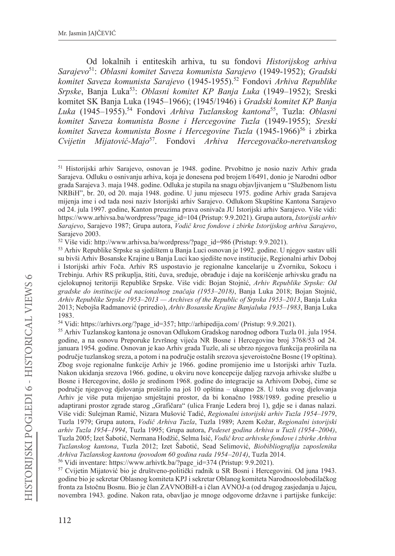Od lokalnih i entiteskih arhiva, tu su fondovi Historijskog arhiva Sarajevo<sup>51</sup>: Oblasni komitet Saveza komunista Sarajevo (1949-1952); Gradski komitet Saveza komunista Sarajevo (1945-1955).<sup>52</sup> Fondovi Arhiva Republike Srpske, Banja Luka<sup>53</sup>: Oblasni komitet KP Banja Luka (1949-1952); Sreski komitet SK Banja Luka (1945-1966); (1945/1946) i Gradski komitet KP Banja Luka (1945-1955).<sup>54</sup> Fondovi Arhiva Tuzlanskog kantona<sup>55</sup>, Tuzla: Oblasni komitet Saveza komunista Bosne i Hercegovine Tuzla (1949-1955); Sreski komitet Saveza komunista Bosne i Hercegovine Tuzla (1945-1966)<sup>56</sup> i zbirka Cvijetin Mijatović-Majo<sup>57</sup>. Fondovi Arhiva Hercegovačko-neretvanskog

<sup>&</sup>lt;sup>51</sup> Historijski arhiv Sarajevo, osnovan je 1948. godine. Prvobitno je nosio naziv Arhiv grada Sarajeva. Odluku o osnivanju arhiva, koja je donesena pod brojem I/6491, donio je Narodni odbor grada Sarajeva 3. maja 1948. godine. Odluka je stupila na snagu objavljivanjem u "Službenom listu NRBiH", br. 20, od 20. maja 1948. godine. U junu mjesecu 1975. godine Arhiv grada Sarajeva mijenja ime i od tada nosi naziv Istorijski arhiv Sarajevo. Odlukom Skupštine Kantona Sarajevo od 24. jula 1997. godine, Kanton preuzima prava osnivača JU Istorijski arhiv Sarajevo. Više vidi: https://www.arhivsa.ba/wordpress/?page id=104 (Pristup: 9.9.2021). Grupa autora, Istorijski arhiv Sarajevo, Sarajevo 1987; Grupa autora, Vodič kroz fondove i zbirke Istorijskog arhiva Sarajevo, Sarajevo 2003.

<sup>&</sup>lt;sup>52</sup> Više vidi: http://www.arhivsa.ba/wordpress/?page id=986 (Pristup: 9.9.2021).

<sup>53</sup> Arhiv Republike Srpske sa sjedištem u Banja Luci osnovan je 1992. godine. U njegov sastav ušli su bivši Arhiv Bosanske Krajine u Banja Luci kao sjedište nove institucije, Regionalni arhiv Doboj i Istorijski arhiv Foča. Arhiv RS uspostavio je regionalne kancelarije u Zvorniku, Sokocu i Trebinju. Arhiv RS prikuplja, štiti, čuva, sređuje, obrađuje i daje na korišćenje arhivsku građu na cjelokupnoj teritoriji Republike Srpske. Više vidi: Bojan Stojnić, Arhiv Republike Srpske: Od gradske do institucije od nacionalnog značaja (1953–2018), Banja Luka 2018; Bojan Stojnić, Arhiv Republike Srpske 1953–2013 — Archives of the Republic of Srpska 1953–2013, Banja Luka 2013; Nebojša Radmanović (priredio), Arhiv Bosanske Krajine Banjaluka 1935–1983, Banja Luka 1983.

<sup>&</sup>lt;sup>54</sup> Vidi: https://arhivrs.org/?page id=357; http://arhipedija.com/ (Pristup: 9.9.2021).

<sup>&</sup>lt;sup>55</sup> Arhiv Tuzlanskog kantona je osnovan Odlukom Gradskog narodnog odbora Tuzla 01. jula 1954. godine, a na osnovu Preporuke Izvršnog vijeća NR Bosne i Hercegovine broj 3768/53 od 24. januara 1954. godine. Osnovan je kao Arhiv grada Tuzle, ali se ubrzo njegova funkcija proširila na područje tuzlanskog sreza, a potom i na područje ostalih srezova sjeveroistočne Bosne (19 opština). Zbog svoje regionalne funkcije Arhiv je 1966. godine promijenio ime u Istorijski arhiv Tuzla. Nakon ukidanja srezova 1966. godine, u okviru nove koncepcije daljeg razvoja arhivske službe u Bosne i Hercegovine, došlo je sredinom 1968. godine do integracije sa Arhivom Doboj, čime se područje njegovog djelovanja proširilo na još 10 opština – ukupno 28. U toku svog djelovanja Arhiv je više puta mijenjao smještajni prostor, da bi konačno 1988/1989. godine preselio u adaptirani prostor zgrade starog "Grafičara" (ulica Franje Ledera broj 1), gdje se i danas nalazi. Više vidi: Sulejman Ramić, Nizara Mušović Tadić, Regionalni istorijski arhiv Tuzla 1954-1979, Tuzla 1979; Grupa autora, Vodič Arhiva Tuzla, Tuzla 1989; Azem Kožar, Regionalni istorijski arhiv Tuzla 1954–1994, Tuzla 1995; Grupa autora, Pedeset godina Arhiva u Tuzli (1954–2004), Tuzla 2005; Izet Šabotić, Nermana Hodžić, Selma Isić, Vodič kroz arhivske fondove i zbirke Arhiva Tuzlanskog kantona, Tuzla 2012; Izet Šabotić, Sead Selimović, Biobibliografija zaposlenika Arhiva Tuzlanskog kantona (povodom 60 godina rada 1954-2014), Tuzla 2014.

<sup>&</sup>lt;sup>56</sup> Vidi inventare: https://www.arhivtk.ba/?page id=374 (Pristup: 9.9.2021).

<sup>57</sup> Cvijetin Mijatović bio je društveno-politički radnik u SR Bosni i Hercegovini. Od juna 1943. godine bio je sekretar Oblasnog komiteta KPJ i sekretar Oblanog komiteta Narodnooslobodilačkog fronta za Istočnu Bosnu. Bio je član ZAVNOBiH-a i član AVNOJ-a (od drugog zasjedanja u Jajcu, novembra 1943. godine. Nakon rata, obavljao je mnoge odgovorne državne i partijske funkcije: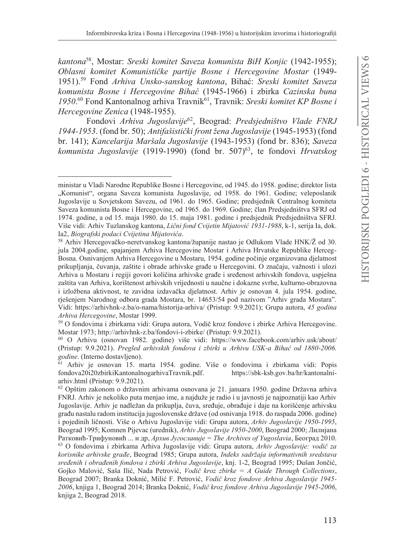kantona<sup>58</sup>, Mostar: Sreski komitet Saveza komunista BiH Konjic (1942-1955); Oblasni komitet Komunističke partije Bosne i Hercegovine Mostar (1949-1951).<sup>59</sup> Fond Arhiva Unsko-sanskog kantona, Bihać: Sreski komitet Saveza komunista Bosne i Hercegovine Bihać (1945-1966) i zbirka Cazinska buna 1950.<sup>60</sup> Fond Kantonalnog arhiva Travnik<sup>61</sup>, Travnik: Sreski komitet KP Bosne i Hercegovine Zenica (1948-1955).

Fondovi Arhiva Jugoslavije<sup>62</sup>, Beograd: Predsjedništvo Vlade FNRJ 1944-1953. (fond br. 50): Antifašistički front žena Jugoslavije (1945-1953) (fond br. 141); Kancelarija Maršala Jugoslavije (1943-1953) (fond br. 836); Saveza komunista Jugoslavije (1919-1990) (fond br. 507)<sup>63</sup>, te fondovi Hrvatskog

ministar u Vladi Narodne Republike Bosne i Hercegovine, od 1945. do 1958. godine; direktor lista "Komunist", organa Saveza komunista Jugoslavije, od 1958. do 1961. Godine; veleposlanik Jugoslavije u Sovjetskom Savezu, od 1961. do 1965. Godine; predsjednik Centralnog komiteta Saveza komunista Bosne i Hercegovine, od 1965. do 1969. Godine; član Predsjedništva SFRJ od 1974. godine, a od 15. maja 1980. do 15. maja 1981. godine i predsjednik Predsjedništva SFRJ. Više vidi: Arhiv Tuzlanskog kantona, Lični fond Cvijetin Mijatović 1931-1988, k-1, serija Ia, dok. Ia2, Biografski podaci Cvijetina Mijatovića.

<sup>&</sup>lt;sup>58</sup> Arhiv Hercegovačko-neretvanskog kantona/županije nastao je Odlukom Vlade HNK/Ž od 30. jula 2004.godine, spajanjem Arhiva Hercegovine Mostar i Arhiva Hrvatske Republike Herceg-Bosna. Osnivanjem Arhiva Hercegovine u Mostaru, 1954. godine počinje organizovana djelatnost prikupljanja, čuvanja, zaštite i obrade arhivske građe u Hercegovini. O značaju, važnosti i ulozi Arhiva u Mostaru i regiji govori količina arhivske građe i sređenost arhivskih fondova, uspješna zaštita van Arhiva, korištenost arhivskih vrijednosti u naučne i dokazne svrhe, kulturno-obrazovna i izložbena aktivnost, te zavidna izdavačka djelatnost. Arhiv je osnovan 4. jula 1954. godine, rješenjem Narodnog odbora grada Mostara, br. 14653/54 pod nazivom "Arhiv grada Mostara". Vidi: https://arhivhnk-z.ba/o-nama/historija-arhiva/ (Pristup: 9.9.2021); Grupa autora, 45 godina Arhiva Hercegovine, Mostar 1999.

<sup>59</sup> O fondovima i zbirkama vidi: Grupa autora, Vodič kroz fondove i zbirke Arhiva Hercegovine. Mostar 1973; http://arhivhnk-z.ba/fondovi-i-zbirke/ (Pristup: 9.9.2021).

<sup>&</sup>lt;sup>60</sup> O Arhivu (osnovan 1982. godine) više vidi: https://www.facebook.com/arhiv.usk/about/ (Pristup: 9.9.2021). Pregled arhivskih fondova i zbirki u Arhivu USK-a Bihać od 1880-2006. godine. (Interno dostavljeno).

<sup>61</sup> Arhiv je osnovan 15. marta 1954. godine. Više o fondovima i zbirkama vidi: Popis fondova20i20zbirkiKantonalnogarhivaTravnik.pdf. https://sbk-ksb.gov.ba/hr/kantonalniarhiv.html (Pristup: 9.9.2021).

<sup>62</sup> Opštim zakonom o državnim arhivama osnovana je 21. januara 1950. godine Državna arhiva FNRJ. Arhiv je nekoliko puta menjao ime, a najduže je radio i u javnosti je najpoznatiji kao Arhiv Jugoslavije. Arhiv je nadležan da prikuplja, čuva, sređuje, obrađuje i daje na korišćenje arhivsku građu nastalu radom institucija jugoslovenske države (od osnivanja 1918. do raspada 2006. godine) i pojedinih ličnosti. Više o Arhivu Jugoslavije vidi: Grupa autora, Arhiv Jugoslavije 1950-1995, Beograd 1995; Komnen Pijevac (urednik), Arhiv Jugoslavije 1950-2000, Beograd 2000; Лилијана Ратковић-Трифуновић ... и др, Архив Југославије = The Archives of Yugoslavia, Београд 2010. 63 O fondovima i zbirkama Arhiva Jugoslavije vidi: Grupa autora, Arhiv Jugoslavije: vodič za korisnike arhivske građe, Beograd 1985; Grupa autora, Indeks sadržaja informativnih sredstava sređenih i obrađenih fondova i zbirki Arhiva Jugoslavije, knj. 1-2, Beograd 1995; Dušan Jončić, Gojko Malović, Saša Ilić, Nada Petrović, Vodič kroz zbirke =  $A$  Guide Through Collections, Beograd 2007; Branka Doknić, Milić F. Petrović, Vodič kroz fondove Arhiva Jugoslavije 1945-2006, knjiga 1, Beograd 2014; Branka Doknić, Vodič kroz fondove Arhiva Jugoslavije 1945-2006, knjiga 2, Beograd 2018.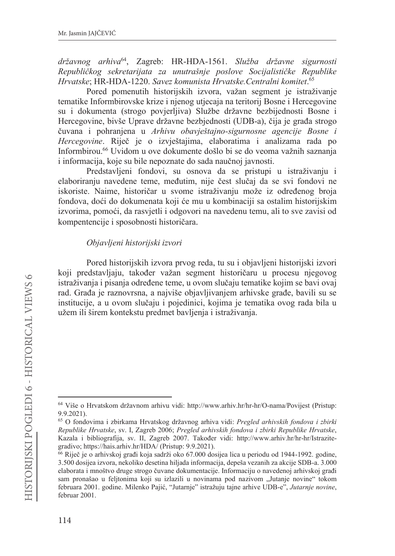državnog arhiva<sup>64</sup>, Zagreb: HR-HDA-1561. Služba državne sigurnosti Republičkog sekretarijata za unutrašnje poslove Socijalističke Republike Hrvatske; HR-HDA-1220. Savez komunista Hrvatske. Centralni komitet.<sup>65</sup>

Pored pomenutih historijskih izvora, važan segment je istraživanje tematike Informbirovske krize i njenog utjecaja na teritorij Bosne i Hercegovine su i dokumenta (strogo povjerljiva) Službe državne bezbijednosti Bosne i Hercegovine, bivše Uprave državne bezbjednosti (UDB-a), čija je građa strogo čuvana i pohranjena u Arhivu obavieštajno-sigurnosne agencije Bosne i Hercegovine. Riječ je o izvještajima, elaboratima i analizama rada po Informbirou.<sup>66</sup> Uvidom u ove dokumente došlo bi se do veoma važnih saznanja i informacija, koje su bile nepoznate do sada naučnoj javnosti.

Predstavljeni fondovi, su osnova da se pristupi u istraživanju i elaboriranju navedene teme, međutim, nije čest slučaj da se svi fondovi ne iskoriste. Naime, historičar u svome istraživanju može iz određenog broja fondova, doći do dokumenata koji će mu u kombinaciji sa ostalim historijskim izvorima, pomoći, da rasvjetli i odgovori na navedenu temu, ali to sve zavisi od kompentencije i sposobnosti historičara.

#### Objavljeni historijski izvori

Pored historijskih izvora prvog reda, tu su i objavljeni historijski izvori koji predstavljaju, također važan segment historičaru u procesu njegovog istraživanja i pisanja određene teme, u ovom slučaju tematike kojim se bavi ovaj rad. Građa je raznovrsna, a najviše objavljivanjem arhivske građe, bavili su se institucije, a u ovom slučaju i pojedinici, kojima je tematika ovog rada bila u užem ili širem kontekstu predmet bavljenja i istraživanja.

<sup>64</sup> Više o Hrvatskom državnom arhivu vidi: http://www.arhiv.hr/hr-hr/O-nama/Povijest (Pristup:  $9.9.2021$ .

<sup>65</sup> O fondovima i zbirkama Hrvatskog državnog arhiva vidi: Pregled arhivskih fondova i zbirki Republike Hrvatske, sv. I. Zagreb 2006; Pregled arhivskih fondova i zbirki Republike Hrvatske, Kazala i bibliografija, sv. II, Zagreb 2007. Također vidi: http://www.arhiv.hr/hr-hr/Istrazitegradivo; https://hais.arhiv.hr/HDA/ (Pristup: 9.9.2021).

<sup>66</sup> Riječ je o arhivskoj građi koja sadrži oko 67.000 dosijea lica u periodu od 1944-1992. godine, 3.500 dosijea izvora, nekoliko desetina hiljada informacija, depeša vezanih za akcije SDB-a. 3.000 elaborata i mnoštvo druge strogo čuvane dokumentacije. Informaciju o navedenoj arhivskoj građi sam pronašao u feljtonima koji su izlazili u novinama pod nazivom "Jutanje novine" tokom februara 2001. godine. Milenko Pajić, "Jutarnje" istražuju tajne arhive UDB-e", Jutarnje novine, februar 2001.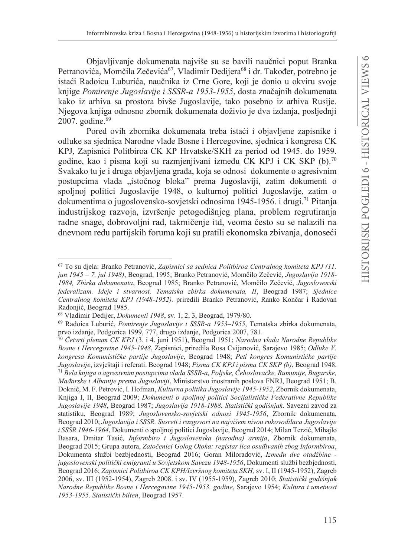Objavljivanje dokumenata najviše su se bavili naučnici poput Branka Petranovića, Momčila Zečevića<sup>67</sup>, Vladimir Dedijera<sup>68</sup> i dr. Također, potrebno je istaći Radoicu Luburića, naučnika iz Crne Gore, koji je donio u okviru svoje knjige Pomirenje Jugoslavije i SSSR-a 1953-1955, dosta značajnih dokumenata kako iz arhiva sa prostora bivše Jugoslavije, tako posebno iz arhiva Rusije. Njegova knjiga odnosno zbornik dokumenata doživio je dva izdanja, posljednji 2007. godine.<sup>69</sup>

Pored ovih zbornika dokumenata treba istaći i objavljene zapisnike i odluke sa sjednica Narodne vlade Bosne i Hercegovine, sjednica i kongresa CK KPJ, Zapisnici Politbiroa CK KP Hrvatske/SKH za period od 1945. do 1959. godine, kao i pisma koji su razmjenjivani između CK KPJ i CK SKP (b).<sup>70</sup> Svakako tu je i druga objavljena građa, koja se odnosi dokumente o agresivnim postupcima vlada "istočnog bloka" prema Jugoslaviji, zatim dokumenti o spoljnoj politici Jugoslavije 1948, o kulturnoj politici Jugoslavije, zatim o dokumentima o jugoslovensko-sovjetski odnosima 1945-1956. i drugi.<sup>71</sup> Pitanja industrijskog razvoja, izvršenje petogodišnjeg plana, problem regrutiranja radne snage, dobrovoljni rad, takmičenje itd, veoma često su se nalazili na dnevnom redu partijskih foruma koji su pratili ekonomska zbivanja, donoseći

<sup>67</sup> To su diela: Branko Petranović, Zapisnici sa sednica Politbiroa Centralnog komiteta KPJ (11. jun 1945 - 7. jul 1948), Beograd, 1995; Branko Petranović, Momčilo Zečević, Jugoslavija 1918-1984, Zbirka dokumenata, Beograd 1985; Branko Petranović, Momčilo Zečević, Jugoslovenski federalizam. Ideje i stvarnost, Tematska zbirka dokumenata, II, Beograd 1987; Sjednice Centralnog komiteta KPJ (1948-1952), priredili Branko Petranović, Ranko Končar i Radovan Radonjić, Beograd 1985.

<sup>68</sup> Vladimir Dedijer, *Dokumenti 1948*, sv. 1, 2, 3, Beograd, 1979/80.

<sup>69</sup> Radoica Luburić, Pomirenje Jugoslavije i SSSR-a 1953-1955, Tematska zbirka dokumenata, prvo izdanje, Podgorica 1999, 777, drugo izdanje, Podgorica 2007, 781.

<sup>70</sup> Četvrti plenum CK KPJ (3. i 4. juni 1951), Beograd 1951; Narodna vlada Narodne Republike Bosne i Hercegovine 1945-1948, Zapisnici, priredila Rosa Cvijanović, Sarajevo 1985; Odluke V. kongresa Komunističke partije Jugoslavije, Beograd 1948; Peti kongres Komunističke partije Jugoslavije, izvještaji i referati. Beograd 1948; Pisma CK KPJ i pisma CK SKP (b), Beograd 1948. <sup>71</sup> Bela knjiga o agresivnim postupcima vlada SSSR-a, Poljske, Čehoslovačke, Rumunije, Bugarske, Mađarske i Albanije prema Jugoslaviji, Ministarstvo inostranih poslova FNRJ, Beograd 1951; B. Doknić, M. F. Petrović, I. Hofman, Kulturna politika Jugoslavije 1945-1952, Zbornik dokumenata, Knjiga I, II, Beograd 2009; Dokumenti o spoljnoj politici Socijalističke Federativne Republike Jugoslavije 1948, Beograd 1987; Jugoslavija 1918-1988. Statistički godišnjak. Savezni zavod za statistiku, Beograd 1989; Jugoslovensko-sovjetski odnosi 1945-1956, Zbornik dokumenata, Beograd 2010; Jugoslavija i SSSR. Susreti i razgovori na najvišem nivou rukovodilaca Jugoslavije i SSSR 1946-1964, Dokumenti o spoljnoj politici Jugoslavije, Beograd 2014; Milan Terzić, Mihajlo Basara, Dmitar Tasić, *Informbiro i Jugoslovenska (narodna) armija*, Zbornik dokumenata, Beograd 2015; Grupa autora, Zatočenici Golog Otoka: registar lica osuđivanih zbog Informbiroa, Dokumenta službi bezbjednosti, Beograd 2016; Goran Miloradović, Između dve otadžbine jugoslovenski politički emigranti u Sovjetskom Savezu 1948-1956, Dokumenti službi bezbjednosti, Beograd 2016; Zapisnici Politbiroa CK KPH/Izvršnog komiteta SKH, sv. I, II (1945-1952), Zagreb 2006, sv. III (1952-1954), Zagreb 2008. i sv. IV (1955-1959), Zagreb 2010; Statistički godišnjak Narodne Republike Bosne i Hercegovine 1945-1953. godine, Sarajevo 1954; Kultura i umetnost 1953-1955. Statistički bilten, Beograd 1957.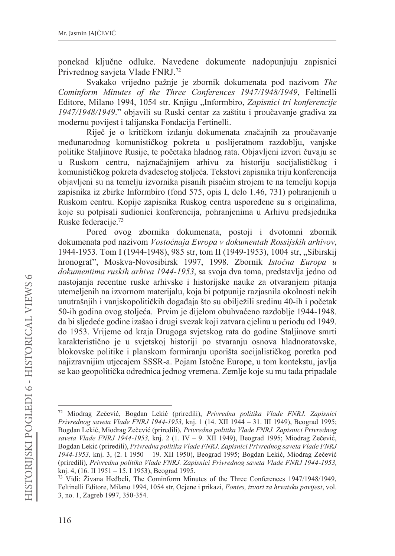ponekad ključne odluke. Navedene dokumente nadopunjuju zapisnici Privrednog savjeta Vlade FNRJ.<sup>72</sup>

Svakako vrijedno pažnje je zbornik dokumenata pod nazivom The Cominform Minutes of the Three Conferences 1947/1948/1949, Feltinelli Editore, Milano 1994, 1054 str. Knjigu "Informbiro, Zapisnici tri konferencije 1947/1948/1949." objavili su Ruski centar za zaštitu i proučavanje gradiva za modernu povijest i talijanska Fondacija Fertinelli.

Riječ je o kritičkom izdanju dokumenata značajnih za proučavanje međunarodnog komunističkog pokreta u poslijeratnom razdoblju, vanjske politike Staljinove Rusije, te početaka hladnog rata. Objavljeni izvori čuvaju se u Ruskom centru, najznačajnijem arhivu za historiju socijalističkog i komunističkog pokreta dvadesetog stoljeća. Tekstovi zapisnika triju konferencija objavljeni su na temelju izvornika pisanih pisaćim strojem te na temelju kopija zapisnika iz zbirke Informbiro (fond 575, opis I, delo 1.46, 731) pohranienih u Ruskom centru. Kopije zapisnika Ruskog centra uspoređene su s originalima, koje su potpisali sudionici konferencija, pohranjenima u Arhivu predsjednika Ruske federacije.<sup>73</sup>

Pored ovog zbornika dokumenata, postoji i dvotomni zbornik dokumenata pod nazivom Vostoćnaja Evropa v dokumentah Rossijskih arhivov, 1944-1953. Tom I (1944-1948), 985 str, tom II (1949-1953), 1004 str, "Sibirskij hronograf", Moskva-Novosibirsk 1997, 1998. Zbornik Istočna Europa u dokumentima ruskih arhiva 1944-1953, sa svoja dva toma, predstavlja jedno od nastojanja recentne ruske arhivske i historijske nauke za otvaranjem pitanja utemeljenih na izvornom materijalu, koja bi potpunije razjasnila okolnosti nekih unutrašnjih i vanjskopolitičkih događaja što su obilježili sredinu 40-ih i početak 50-ih godina ovog stoljeća. Prvim je dijelom obuhvaćeno razdoblje 1944-1948. da bi sljedeće godine izašao i drugi svezak koji zatvara cjelinu u periodu od 1949. do 1953. Vrijeme od kraja Drugoga svjetskog rata do godine Staljinove smrti karakteristično je u svjetskoj historiji po stvaranju osnova hladnoratovske, blokovske politike i planskom formiranju uporišta socijalističkog poretka pod najizravnijim utjecajem SSSR-a. Pojam Istočne Europe, u tom kontekstu, javlja se kao geopolitička odrednica jednog vremena. Zemlje koje su mu tada pripadale

<sup>72</sup> Miodrag Zečević, Bogdan Lekić (priredili), Privredna politika Vlade FNRJ. Zapisnici Privrednog saveta Vlade FNRJ 1944-1953, knj. 1 (14. XII 1944 – 31. III 1949), Beograd 1995; Bogdan Lekić, Miodrag Zečević (priredili), Privredna politika Vlade FNRJ. Zapisnici Privrednog saveta Vlade FNRJ 1944-1953, knj. 2 (1. IV - 9. XII 1949), Beograd 1995; Miodrag Zečević, Bogdan Lekić (priredili), Privredna politika Vlade FNRJ. Zapisnici Privrednog saveta Vlade FNRJ 1944-1953, knj. 3, (2. I 1950 - 19. XII 1950), Beograd 1995; Bogdan Lekić, Miodrag Zečević (priredili), Privredna politika Vlade FNRJ. Zapisnici Privrednog saveta Vlade FNRJ 1944-1953, knj. 4, (16. II 1951 - 15. I 1953), Beograd 1995.

<sup>&</sup>lt;sup>73</sup> Vidi: Živana Hedbeli, The Cominform Minutes of the Three Conferences 1947/1948/1949, Feltinelli Editore, Milano 1994, 1054 str. Ocjene i prikazi, Fontes, izvori za hrvatsku povijest, vol. 3, no. 1, Zagreb 1997, 350-354.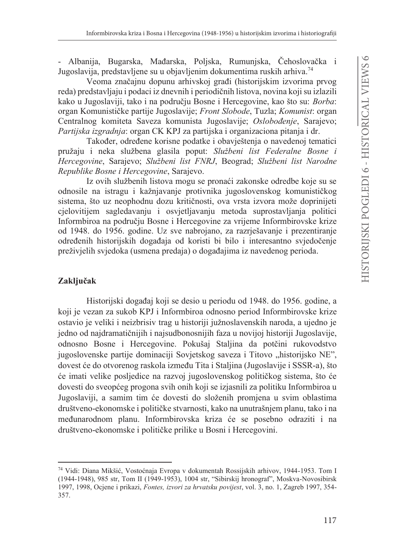- Albanija, Bugarska, Mađarska, Poliska, Rumuniska, Čehoslovačka i Jugoslavija, predstavljene su u objavljenim dokumentima ruskih arhiva.<sup>74</sup>

Veoma značajnu dopunu arhivskoj građi (historijskim izvorima prvog reda) predstavljaju i podaci iz dnevnih i periodičnih listova, novina koji su izlazili kako u Jugoslaviji, tako i na području Bosne i Hercegovine, kao što su: Borba: organ Komunističke partije Jugoslavije; Front Slobode, Tuzla; Komunist: organ Centralnog komiteta Saveza komunista Jugoslavije; Oslobođenje, Sarajevo; Partijska izgradnja: organ CK KPJ za partijska i organizaciona pitanja i dr.

Također, određene korisne podatke i obavještenja o navedenoj tematici pružaju i neka službena glasila poput: Službeni list Federalne Bosne i Hercegovine, Sarajevo; Službeni list FNRJ, Beograd; Službeni list Narodne Republike Bosne i Hercegovine, Sarajevo.

Iz ovih službenih listova mogu se pronaći zakonske odredbe koje su se odnosile na istragu i kažnjavanje protivnika jugoslovenskog komunističkog sistema, što uz neophodnu dozu kritičnosti, ova vrsta izvora može doprinijeti cjelovitijem sagledavanju i osvjetljavanju metoda suprostavljanja politici Informbiroa na području Bosne i Hercegovine za vrijeme Informbirovske krize od 1948. do 1956. godine. Uz sve nabrojano, za razriešavanje i prezentiranje određenih historijskih događaja od koristi bi bilo i interesantno svjedočenje preživjelih svjedoka (usmena predaja) o događajima iz navedenog perioda.

## Zaključak

Historijski događaj koji se desio u periodu od 1948. do 1956. godine, a koji je vezan za sukob KPJ i Informbiroa odnosno period Informbirovske krize ostavio je veliki i neizbrisiv trag u historiji južnoslavenskih naroda, a ujedno je jedno od najdramatičnijih i najsudbonosnijih faza u novijoj historiji Jugoslavije, odnosno Bosne i Hercegovine. Pokušaj Staljina da potčini rukovodstvo jugoslovenske partije dominaciji Sovjetskog saveza i Titovo "historijsko NE", dovest će do otvorenog raskola između Tita i Staljina (Jugoslavije i SSSR-a), što će imati velike posljedice na razvoj jugoslovenskog političkog sistema, što će dovesti do sveopćeg progona svih onih koji se izjasnili za politiku Informbiroa u Jugoslaviji, a samim tim će dovesti do složenih promjena u svim oblastima društveno-ekonomske i političke stvarnosti, kako na unutrašnjem planu, tako i na međunarodnom planu. Informbirovska kriza će se posebno odraziti i na društveno-ekonomske i političke prilike u Bosni i Hercegovini.

<sup>74</sup> Vidi: Diana Mikšić, Vostoćnaja Evropa v dokumentah Rossijskih arhivov, 1944-1953. Tom I (1944-1948), 985 str, Tom II (1949-1953), 1004 str, "Sibirskij hronograf", Moskva-Novosibirsk 1997, 1998, Ocjene i prikazi, Fontes, izvori za hrvatsku povijest, vol. 3, no. 1, Zagreb 1997, 354-357.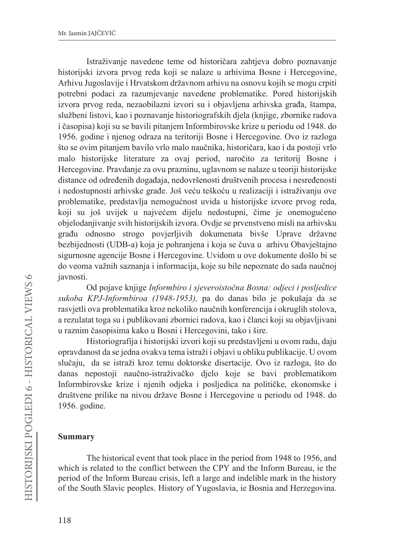Istraživanje navedene teme od historičara zahtjeva dobro poznavanje historijski izvora prvog reda koji se nalaze u arhivima Bosne i Hercegovine, Arhivu Jugoslavije i Hrvatskom državnom arhivu na osnovu kojih se mogu crpiti potrebni podaci za razumjevanje navedene problematike. Pored historijskih izvora prvog reda, nezaobilazni izvori su i objavljena arhivska građa, štampa, službeni listovi, kao i poznavanje historiografskih djela (knjige, zbornike radova i časopisa) koji su se bavili pitanjem Informbirovske krize u periodu od 1948. do 1956. godine i njenog odraza na teritoriji Bosne i Hercegovine. Ovo iz razloga što se ovim pitanjem bavilo vrlo malo naučnika, historičara, kao i da postoji vrlo malo historijske literature za ovaj period, naročito za teritorij Bosne i Hercegovine. Pravdanje za ovu prazninu, uglavnom se nalaze u teoriji historijske distance od određenih događaja, nedovršenosti društvenih procesa i nesređenosti i nedostupnosti arhivske građe. Još veću teškoću u realizaciji i istraživanju ove problematike, predstavlja nemogućnost uvida u historijske izvore prvog reda, koji su još uvijek u najvećem dijelu nedostupni, čime je onemogućeno objelodanjivanje svih historijskih izvora. Ovdje se prvenstveno misli na arhivsku građu odnosno strogo povjetljivih dokumenata bivše Uprave državne bezbijednosti (UDB-a) koja je pohranjena i koja se čuva u arhivu Obavještajno sigurnosne agencije Bosne i Hercegovine. Uvidom u ove dokumente došlo bi se do veoma važnih saznanja i informacija, koje su bile nepoznate do sada naučnoj javnosti.

Od pojave knjige Informbiro i sjeveroistočna Bosna: odjeci i posljedice sukoba KPJ-Informbiroa (1948-1953), pa do danas bilo je pokušaja da se rasvjetli ova problematika kroz nekoliko naučnih konferencija i okruglih stolova, a rezulatat toga su i publikovani zbornici radova, kao i članci koji su objavljivani u raznim časopisima kako u Bosni i Hercegovini, tako i šire.

Historiografija i historijski izvori koji su predstavljeni u ovom radu, daju opravdanost da se jedna ovakva tema istraži i objavi u obliku publikacije. U ovom slučaju, da se istraži kroz temu doktorske disertacije. Ovo iz razloga, što do danas nepostoji naučno-istraživačko djelo koje se bavi problematikom Informbirovske krize i njenih odjeka i posljedica na političke, ekonomske i društvene prilike na nivou države Bosne i Hercegovine u periodu od 1948. do 1956. godine.

### **Summary**

The historical event that took place in the period from 1948 to 1956, and which is related to the conflict between the CPY and the Inform Bureau, ie the period of the Inform Bureau crisis, left a large and indelible mark in the history of the South Slavic peoples. History of Yugoslavia, ie Bosnia and Herzegovina.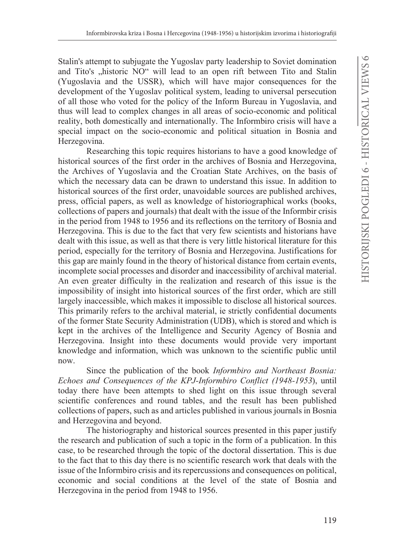Stalin's attempt to subjugate the Yugoslav party leadership to Soviet domination and Tito's "historic NO" will lead to an open rift between Tito and Stalin (Yugoslavia and the USSR), which will have major consequences for the development of the Yugoslav political system, leading to universal persecution of all those who voted for the policy of the Inform Bureau in Yugoslavia, and thus will lead to complex changes in all areas of socio-economic and political reality, both domestically and internationally. The Informbiro crisis will have a special impact on the socio-economic and political situation in Bosnia and Herzegovina.

Researching this topic requires historians to have a good knowledge of historical sources of the first order in the archives of Bosnia and Herzegovina, the Archives of Yugoslavia and the Croatian State Archives, on the basis of which the necessary data can be drawn to understand this issue. In addition to historical sources of the first order, unavoidable sources are published archives, press, official papers, as well as knowledge of historiographical works (books, collections of papers and journals) that dealt with the issue of the Informbir crisis in the period from 1948 to 1956 and its reflections on the territory of Bosnia and Herzegovina. This is due to the fact that very few scientists and historians have dealt with this issue, as well as that there is very little historical literature for this period, especially for the territory of Bosnia and Herzegovina. Justifications for this gap are mainly found in the theory of historical distance from certain events, incomplete social processes and disorder and inaccessibility of archival material. An even greater difficulty in the realization and research of this issue is the impossibility of insight into historical sources of the first order, which are still largely inaccessible, which makes it impossible to disclose all historical sources. This primarily refers to the archival material, ie strictly confidential documents of the former State Security Administration (UDB), which is stored and which is kept in the archives of the Intelligence and Security Agency of Bosnia and Herzegovina. Insight into these documents would provide very important knowledge and information, which was unknown to the scientific public until now.

Since the publication of the book *Informbiro and Northeast Bosnia*: Echoes and Consequences of the KPJ-Informbiro Conflict (1948-1953), until today there have been attempts to shed light on this issue through several scientific conferences and round tables, and the result has been published collections of papers, such as and articles published in various journals in Bosnia and Herzegovina and beyond.

The historiography and historical sources presented in this paper justify the research and publication of such a topic in the form of a publication. In this case, to be researched through the topic of the doctoral dissertation. This is due to the fact that to this day there is no scientific research work that deals with the issue of the Informbiro crisis and its repercussions and consequences on political, economic and social conditions at the level of the state of Bosnia and Herzegovina in the period from 1948 to 1956.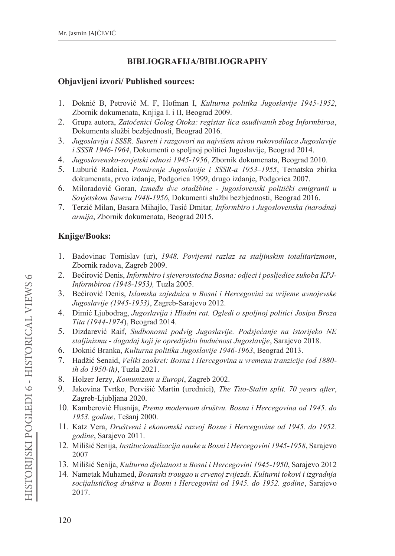## **BIBLIOGRAFIJA/BIBLIOGRAPHY**

### **Objavljeni izvori/ Published sources:**

- 1. Doknić B, Petrović M. F, Hofman I, Kulturna politika Jugoslavije 1945-1952, Zbornik dokumenata, Knjiga I. i II, Beograd 2009.
- 2. Grupa autora, Zatočenici Golog Otoka: registar lica osuđivanih zbog Informbiroa, Dokumenta službi bezbjednosti, Beograd 2016.
- 3. Jugoslavija i SSSR. Susreti i razgovori na najvišem nivou rukovodilaca Jugoslavije i SSSR 1946-1964, Dokumenti o spoljnoj politici Jugoslavije, Beograd 2014.
- 4. Jugoslovensko-sovjetski odnosi 1945-1956, Zbornik dokumenata, Beograd 2010.
- 5. Luburić Radoica, Pomirenje Jugoslavije i SSSR-a 1953-1955, Tematska zbirka dokumenata, prvo izdanje, Podgorica 1999, drugo izdanje, Podgorica 2007.
- 6. Miloradović Goran, Između dve otadžbine jugoslovenski politički emigranti u Sovjetskom Savezu 1948-1956, Dokumenti službi bezbjednosti, Beograd 2016.
- Terzić Milan, Basara Mihajlo, Tasić Dmitar, *Informbiro i Jugoslovenska (narodna)* 7. armija, Zbornik dokumenata, Beograd 2015.

## **Knjige/Books:**

- 1. Badovinac Tomislav (ur), 1948. Povijesni razlaz sa staljinskim totalitarizmom, Zbornik radova, Zagreb 2009.
- 2. Bećirović Denis, Informbiro i sjeveroistočna Bosna: odjeci i posljedice sukoba KPJ-Informbiroa (1948-1953), Tuzla 2005.
- 3. Bećirović Denis, Islamska zajednica u Bosni i Hercegovini za vrijeme avnojevske Jugoslavije (1945-1953), Zagreb-Sarajevo 2012.
- 4. Dimić Ljubodrag, Jugoslavija i Hladni rat. Ogledi o spoljnoj politici Josipa Broza Tita (1944-1974), Beograd 2014.
- 5. Dizdarević Raif, Sudbonosni podvig Jugoslavije. Podsjećanje na istorijeko NE staljinizmu - događaj koji je opredijelio budućnost Jugoslavije, Sarajevo 2018.
- 6. Doknić Branka, Kulturna politika Jugoslavije 1946-1963, Beograd 2013.
- 7. Hadžić Senaid, Veliki zaokret: Bosna i Hercegovina u vremenu tranzicije (od 1880ih do 1950-ih), Tuzla 2021.
- 8. Holzer Jerzy, Komunizam u Europi, Zagreb 2002.
- 9. Jakovina Tvrtko, Pervišić Martin (urednici), The Tito-Stalin split. 70 years after, Zagreb-Ljubljana 2020.
- 10. Kamberović Husnija, Prema modernom društvu. Bosna i Hercegovina od 1945. do 1953. godine, Tešanj 2000.
- 11. Katz Vera, Društveni i ekonomski razvoj Bosne i Hercegovine od 1945. do 1952. godine, Sarajevo 2011.
- 12. Milišić Senija, Institucionalizacija nauke u Bosni i Hercegovini 1945-1958, Sarajevo 2007
- 13. Milišić Senija, Kulturna djelatnost u Bosni i Hercegovini 1945-1950, Sarajevo 2012
- 14. Nametak Muhamed, Bosanski trougao u crvenoj zvijezdi. Kulturni tokovi i izgradnja socijalističkog društva u Bosni i Hercegovini od 1945. do 1952. godine, Sarajevo 2017.